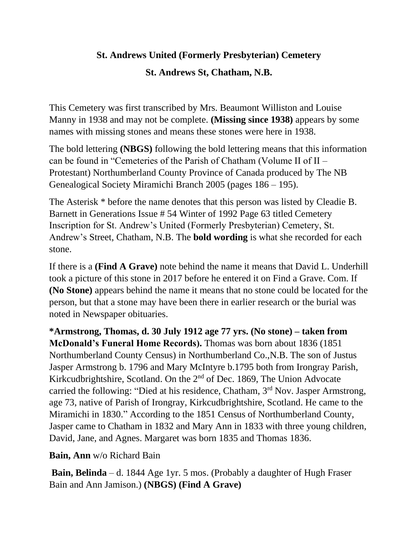## **St. Andrews United (Formerly Presbyterian) Cemetery**

#### **St. Andrews St, Chatham, N.B.**

This Cemetery was first transcribed by Mrs. Beaumont Williston and Louise Manny in 1938 and may not be complete. **(Missing since 1938)** appears by some names with missing stones and means these stones were here in 1938.

The bold lettering **(NBGS)** following the bold lettering means that this information can be found in "Cemeteries of the Parish of Chatham (Volume II of II – Protestant) Northumberland County Province of Canada produced by The NB Genealogical Society Miramichi Branch 2005 (pages 186 – 195).

The Asterisk \* before the name denotes that this person was listed by Cleadie B. Barnett in Generations Issue # 54 Winter of 1992 Page 63 titled Cemetery Inscription for St. Andrew's United (Formerly Presbyterian) Cemetery, St. Andrew's Street, Chatham, N.B. The **bold wording** is what she recorded for each stone.

If there is a **(Find A Grave)** note behind the name it means that David L. Underhill took a picture of this stone in 2017 before he entered it on Find a Grave. Com. If **(No Stone)** appears behind the name it means that no stone could be located for the person, but that a stone may have been there in earlier research or the burial was noted in Newspaper obituaries.

**\*Armstrong, Thomas, d. 30 July 1912 age 77 yrs. (No stone) – taken from McDonald's Funeral Home Records).** Thomas was born about 1836 (1851 Northumberland County Census) in Northumberland Co.,N.B. The son of Justus Jasper Armstrong b. 1796 and Mary McIntyre b.1795 both from Irongray Parish, Kirkcudbrightshire, Scotland. On the 2nd of Dec. 1869, The Union Advocate carried the following: "Died at his residence, Chatham, 3rd Nov. Jasper Armstrong, age 73, native of Parish of Irongray, Kirkcudbrightshire, Scotland. He came to the Miramichi in 1830." According to the 1851 Census of Northumberland County, Jasper came to Chatham in 1832 and Mary Ann in 1833 with three young children, David, Jane, and Agnes. Margaret was born 1835 and Thomas 1836.

**Bain, Ann** w/o Richard Bain

**Bain, Belinda** – d. 1844 Age 1yr. 5 mos. (Probably a daughter of Hugh Fraser Bain and Ann Jamison.) **(NBGS) (Find A Grave)**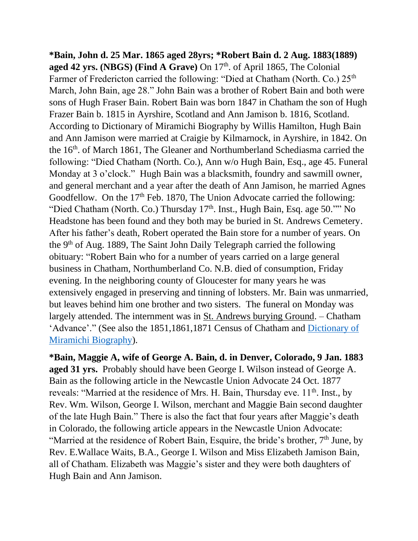**\*Bain, John d. 25 Mar. 1865 aged 28yrs; \*Robert Bain d. 2 Aug. 1883(1889) aged 42 yrs. (NBGS) (Find A Grave) On 17<sup>th</sup>. of April 1865, The Colonial** Farmer of Fredericton carried the following: "Died at Chatham (North. Co.) 25<sup>th</sup> March, John Bain, age 28." John Bain was a brother of Robert Bain and both were sons of Hugh Fraser Bain. Robert Bain was born 1847 in Chatham the son of Hugh Frazer Bain b. 1815 in Ayrshire, Scotland and Ann Jamison b. 1816, Scotland. According to Dictionary of Miramichi Biography by Willis Hamilton, Hugh Bain and Ann Jamison were married at Craigie by Kilmarnock, in Ayrshire, in 1842. On the 16th. of March 1861, The Gleaner and Northumberland Schediasma carried the following: "Died Chatham (North. Co.), Ann w/o Hugh Bain, Esq., age 45. Funeral Monday at 3 o'clock." Hugh Bain was a blacksmith, foundry and sawmill owner, and general merchant and a year after the death of Ann Jamison, he married Agnes Goodfellow. On the 17<sup>th</sup> Feb. 1870, The Union Advocate carried the following: "Died Chatham (North. Co.) Thursday 17<sup>th</sup>. Inst., Hugh Bain, Esq. age 50."" No Headstone has been found and they both may be buried in St. Andrews Cemetery. After his father's death, Robert operated the Bain store for a number of years. On the 9<sup>th</sup> of Aug. 1889, The Saint John Daily Telegraph carried the following obituary: "Robert Bain who for a number of years carried on a large general business in Chatham, Northumberland Co. N.B. died of consumption, Friday evening. In the neighboring county of Gloucester for many years he was extensively engaged in preserving and tinning of lobsters. Mr. Bain was unmarried, but leaves behind him one brother and two sisters. The funeral on Monday was largely attended. The internment was in St. Andrews burying Ground. – Chatham 'Advance'." (See also the 1851,1861,1871 Census of Chatham and [Dictionary of](https://archives.gnb.ca/Search/Hamilton/DMB/SearchResults.aspx?culture=en-CA&action=0&page=46)  [Miramichi Biography\)](https://archives.gnb.ca/Search/Hamilton/DMB/SearchResults.aspx?culture=en-CA&action=0&page=46).

**\*Bain, Maggie A, wife of George A. Bain, d. in Denver, Colorado, 9 Jan. 1883 aged 31 yrs.** Probably should have been George I. Wilson instead of George A. Bain as the following article in the Newcastle Union Advocate 24 Oct. 1877 reveals: "Married at the residence of Mrs. H. Bain, Thursday eve. 11<sup>th</sup>. Inst., by Rev. Wm. Wilson, George I. Wilson, merchant and Maggie Bain second daughter of the late Hugh Bain." There is also the fact that four years after Maggie's death in Colorado, the following article appears in the Newcastle Union Advocate: "Married at the residence of Robert Bain, Esquire, the bride's brother,  $7<sup>th</sup>$  June, by Rev. E.Wallace Waits, B.A., George I. Wilson and Miss Elizabeth Jamison Bain, all of Chatham. Elizabeth was Maggie's sister and they were both daughters of Hugh Bain and Ann Jamison.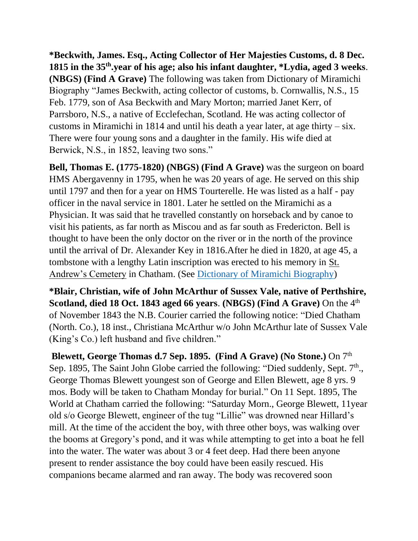**\*Beckwith, James. Esq., Acting Collector of Her Majesties Customs, d. 8 Dec. 1815 in the 35th .year of his age; also his infant daughter, \*Lydia, aged 3 weeks**. **(NBGS) (Find A Grave)** The following was taken from Dictionary of Miramichi Biography "James Beckwith, acting collector of customs, b. Cornwallis, N.S., 15 Feb. 1779, son of Asa Beckwith and Mary Morton; married Janet Kerr, of Parrsboro, N.S., a native of Ecclefechan, Scotland. He was acting collector of customs in Miramichi in 1814 and until his death a year later, at age thirty – six. There were four young sons and a daughter in the family. His wife died at Berwick, N.S., in 1852, leaving two sons."

**Bell, Thomas E. (1775-1820) (NBGS) (Find A Grave)** was the surgeon on board HMS Abergavenny in 1795, when he was 20 years of age. He served on this ship until 1797 and then for a year on HMS Tourterelle. He was listed as a half - pay officer in the naval service in 1801. Later he settled on the Miramichi as a Physician. It was said that he travelled constantly on horseback and by canoe to visit his patients, as far north as Miscou and as far south as Fredericton. Bell is thought to have been the only doctor on the river or in the north of the province until the arrival of Dr. Alexander Key in 1816.After he died in 1820, at age 45, a tombstone with a lengthy Latin inscription was erected to his memory in St. Andrew's Cemetery in Chatham. (See [Dictionary of Miramichi Biography\)](https://archives.gnb.ca/Search/Hamilton/DMB/SearchResults.aspx?culture=en-CA&action=0&page=73)

**\*Blair, Christian, wife of John McArthur of Sussex Vale, native of Perthshire, Scotland, died 18 Oct. 1843 aged 66 years**. **(NBGS) (Find A Grave)** On the 4th of November 1843 the N.B. Courier carried the following notice: "Died Chatham (North. Co.), 18 inst., Christiana McArthur w/o John McArthur late of Sussex Vale (King's Co.) left husband and five children."

**Blewett, George Thomas d.7 Sep. 1895. (Find A Grave) (No Stone.)** On 7th Sep. 1895, The Saint John Globe carried the following: "Died suddenly, Sept.  $7<sup>th</sup>$ ., George Thomas Blewett youngest son of George and Ellen Blewett, age 8 yrs. 9 mos. Body will be taken to Chatham Monday for burial." On 11 Sept. 1895, The World at Chatham carried the following: "Saturday Morn., George Blewett, 11year old s/o George Blewett, engineer of the tug "Lillie" was drowned near Hillard's mill. At the time of the accident the boy, with three other boys, was walking over the booms at Gregory's pond, and it was while attempting to get into a boat he fell into the water. The water was about 3 or 4 feet deep. Had there been anyone present to render assistance the boy could have been easily rescued. His companions became alarmed and ran away. The body was recovered soon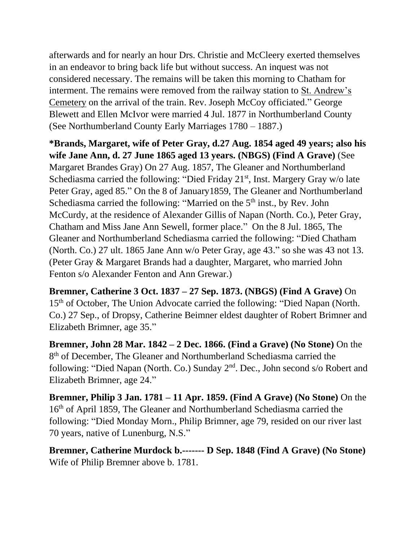afterwards and for nearly an hour Drs. Christie and McCleery exerted themselves in an endeavor to bring back life but without success. An inquest was not considered necessary. The remains will be taken this morning to Chatham for interment. The remains were removed from the railway station to St. Andrew's Cemetery on the arrival of the train. Rev. Joseph McCoy officiated." George Blewett and Ellen McIvor were married 4 Jul. 1877 in Northumberland County (See Northumberland County Early Marriages 1780 – 1887.)

**\*Brands, Margaret, wife of Peter Gray, d.27 Aug. 1854 aged 49 years; also his wife Jane Ann, d. 27 June 1865 aged 13 years. (NBGS) (Find A Grave)** (See Margaret Brandes Gray) On 27 Aug. 1857, The Gleaner and Northumberland Schediasma carried the following: "Died Friday  $21<sup>st</sup>$ , Inst. Margery Gray w/o late Peter Gray, aged 85." On the 8 of January1859, The Gleaner and Northumberland Schediasma carried the following: "Married on the  $5<sup>th</sup>$  inst., by Rev. John McCurdy, at the residence of Alexander Gillis of Napan (North. Co.), Peter Gray, Chatham and Miss Jane Ann Sewell, former place." On the 8 Jul. 1865, The Gleaner and Northumberland Schediasma carried the following: "Died Chatham (North. Co.) 27 ult. 1865 Jane Ann w/o Peter Gray, age 43." so she was 43 not 13. (Peter Gray & Margaret Brands had a daughter, Margaret, who married John Fenton s/o Alexander Fenton and Ann Grewar.)

**Bremner, Catherine 3 Oct. 1837 – 27 Sep. 1873. (NBGS) (Find A Grave)** On 15<sup>th</sup> of October, The Union Advocate carried the following: "Died Napan (North. Co.) 27 Sep., of Dropsy, Catherine Beimner eldest daughter of Robert Brimner and Elizabeth Brimner, age 35."

**Bremner, John 28 Mar. 1842 – 2 Dec. 1866. (Find a Grave) (No Stone)** On the 8<sup>th</sup> of December, The Gleaner and Northumberland Schediasma carried the following: "Died Napan (North. Co.) Sunday 2nd. Dec., John second s/o Robert and Elizabeth Brimner, age 24."

**Bremner, Philip 3 Jan. 1781 – 11 Apr. 1859. (Find A Grave) (No Stone)** On the 16th of April 1859, The Gleaner and Northumberland Schediasma carried the following: "Died Monday Morn., Philip Brimner, age 79, resided on our river last 70 years, native of Lunenburg, N.S."

**Bremner, Catherine Murdock b.------- D Sep. 1848 (Find A Grave) (No Stone)**  Wife of Philip Bremner above b. 1781.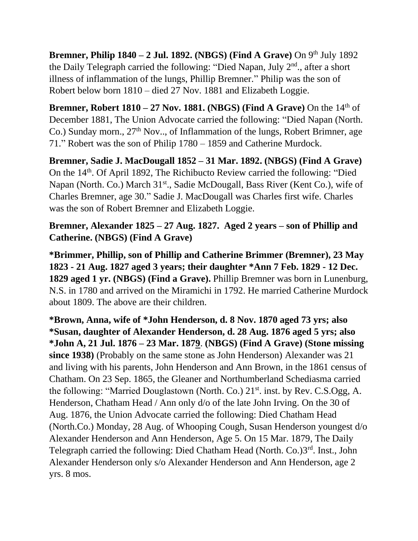**Bremner, Philip 1840 – 2 Jul. 1892. (NBGS) (Find A Grave)** On 9th July 1892 the Daily Telegraph carried the following: "Died Napan, July 2<sup>nd</sup>., after a short illness of inflammation of the lungs, Phillip Bremner." Philip was the son of Robert below born 1810 – died 27 Nov. 1881 and Elizabeth Loggie.

**Bremner, Robert 1810 – 27 Nov. 1881. (NBGS) (Find A Grave) On the**  $14<sup>th</sup>$  **of** December 1881, The Union Advocate carried the following: "Died Napan (North. Co.) Sunday morn.,  $27<sup>th</sup>$  Nov.., of Inflammation of the lungs, Robert Brimner, age 71." Robert was the son of Philip 1780 – 1859 and Catherine Murdock.

**Bremner, Sadie J. MacDougall 1852 – 31 Mar. 1892. (NBGS) (Find A Grave)** On the 14th. Of April 1892, The Richibucto Review carried the following: "Died Napan (North. Co.) March 31<sup>st</sup>., Sadie McDougall, Bass River (Kent Co.), wife of Charles Bremner, age 30." Sadie J. MacDougall was Charles first wife. Charles was the son of Robert Bremner and Elizabeth Loggie.

## **Bremner, Alexander 1825 – 27 Aug. 1827. Aged 2 years – son of Phillip and Catherine. (NBGS) (Find A Grave)**

**\*Brimmer, Phillip, son of Phillip and Catherine Brimmer (Bremner), 23 May 1823 - 21 Aug. 1827 aged 3 years; their daughter \*Ann 7 Feb. 1829 - 12 Dec. 1829 aged 1 yr. (NBGS) (Find a Grave).** Phillip Bremner was born in Lunenburg, N.S. in 1780 and arrived on the Miramichi in 1792. He married Catherine Murdock about 1809. The above are their children.

**\*Brown, Anna, wife of \*John Henderson, d. 8 Nov. 1870 aged 73 yrs; also \*Susan, daughter of Alexander Henderson, d. 28 Aug. 1876 aged 5 yrs; also \*John A, 21 Jul. 1876 – 23 Mar. 1879**. **(NBGS) (Find A Grave) (Stone missing since 1938)** (Probably on the same stone as John Henderson) Alexander was 21 and living with his parents, John Henderson and Ann Brown, in the 1861 census of Chatham. On 23 Sep. 1865, the Gleaner and Northumberland Schediasma carried the following: "Married Douglastown (North. Co.) 21<sup>st</sup>. inst. by Rev. C.S.Ogg, A. Henderson, Chatham Head / Ann only d/o of the late John Irving. On the 30 of Aug. 1876, the Union Advocate carried the following: Died Chatham Head (North.Co.) Monday, 28 Aug. of Whooping Cough, Susan Henderson youngest d/o Alexander Henderson and Ann Henderson, Age 5. On 15 Mar. 1879, The Daily Telegraph carried the following: Died Chatham Head (North. Co.)3rd. Inst., John Alexander Henderson only s/o Alexander Henderson and Ann Henderson, age 2 yrs. 8 mos.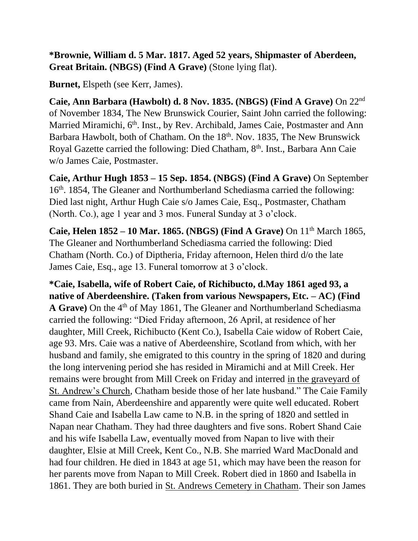**\*Brownie, William d. 5 Mar. 1817. Aged 52 years, Shipmaster of Aberdeen, Great Britain. (NBGS) (Find A Grave)** (Stone lying flat).

**Burnet,** Elspeth (see Kerr, James).

**Caie, Ann Barbara (Hawbolt) d. 8 Nov. 1835. (NBGS) (Find A Grave)** On 22nd of November 1834, The New Brunswick Courier, Saint John carried the following: Married Miramichi, 6<sup>th</sup>. Inst., by Rev. Archibald, James Caie, Postmaster and Ann Barbara Hawbolt, both of Chatham. On the 18<sup>th</sup>. Nov. 1835, The New Brunswick Royal Gazette carried the following: Died Chatham, 8<sup>th</sup>. Inst., Barbara Ann Caie w/o James Caie, Postmaster.

**Caie, Arthur Hugh 1853 – 15 Sep. 1854. (NBGS) (Find A Grave)** On September 16<sup>th</sup>. 1854, The Gleaner and Northumberland Schediasma carried the following: Died last night, Arthur Hugh Caie s/o James Caie, Esq., Postmaster, Chatham (North. Co.), age 1 year and 3 mos. Funeral Sunday at 3 o'clock.

**Caie, Helen 1852 – 10 Mar. 1865. (NBGS) (Find A Grave)** On 11th March 1865, The Gleaner and Northumberland Schediasma carried the following: Died Chatham (North. Co.) of Diptheria, Friday afternoon, Helen third d/o the late James Caie, Esq., age 13. Funeral tomorrow at 3 o'clock.

**\*Caie, Isabella, wife of Robert Caie, of Richibucto, d.May 1861 aged 93, a native of Aberdeenshire. (Taken from various Newspapers, Etc. – AC) (Find**  A Grave) On the 4<sup>th</sup> of May 1861, The Gleaner and Northumberland Schediasma carried the following: "Died Friday afternoon, 26 April, at residence of her daughter, Mill Creek, Richibucto (Kent Co.), Isabella Caie widow of Robert Caie, age 93. Mrs. Caie was a native of Aberdeenshire, Scotland from which, with her husband and family, she emigrated to this country in the spring of 1820 and during the long intervening period she has resided in Miramichi and at Mill Creek. Her remains were brought from Mill Creek on Friday and interred in the graveyard of St. Andrew's Church, Chatham beside those of her late husband." The Caie Family came from Nain, Aberdeenshire and apparently were quite well educated. Robert Shand Caie and Isabella Law came to N.B. in the spring of 1820 and settled in Napan near Chatham. They had three daughters and five sons. Robert Shand Caie and his wife Isabella Law, eventually moved from Napan to live with their daughter, Elsie at Mill Creek, Kent Co., N.B. She married Ward MacDonald and had four children. He died in 1843 at age 51, which may have been the reason for her parents move from Napan to Mill Creek. Robert died in 1860 and Isabella in 1861. They are both buried in St. Andrews Cemetery in Chatham. Their son James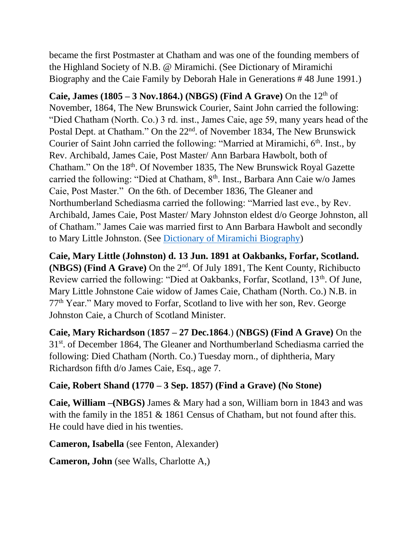became the first Postmaster at Chatham and was one of the founding members of the Highland Society of N.B. @ Miramichi. (See Dictionary of Miramichi Biography and the Caie Family by Deborah Hale in Generations # 48 June 1991.)

**Caie, James**  $(1805 - 3 \text{ Nov.}1864.)$  **(NBGS) (Find A Grave)** On the  $12^{\text{th}}$  of November, 1864, The New Brunswick Courier, Saint John carried the following: "Died Chatham (North. Co.) 3 rd. inst., James Caie, age 59, many years head of the Postal Dept. at Chatham." On the 22<sup>nd</sup>. of November 1834, The New Brunswick Courier of Saint John carried the following: "Married at Miramichi, 6<sup>th</sup>. Inst., by Rev. Archibald, James Caie, Post Master/ Ann Barbara Hawbolt, both of Chatham." On the 18<sup>th</sup>. Of November 1835, The New Brunswick Royal Gazette carried the following: "Died at Chatham, 8th. Inst., Barbara Ann Caie w/o James Caie, Post Master." On the 6th. of December 1836, The Gleaner and Northumberland Schediasma carried the following: "Married last eve., by Rev. Archibald, James Caie, Post Master/ Mary Johnston eldest d/o George Johnston, all of Chatham." James Caie was married first to Ann Barbara Hawbolt and secondly to Mary Little Johnston. (See [Dictionary of Miramichi Biography\)](https://archives.gnb.ca/Search/Hamilton/DMB/SearchResults.aspx?culture=en-CA&action=0&page=132)

**Caie, Mary Little (Johnston) d. 13 Jun. 1891 at Oakbanks, Forfar, Scotland. (NBGS) (Find A Grave)** On the 2nd. Of July 1891, The Kent County, Richibucto Review carried the following: "Died at Oakbanks, Forfar, Scotland, 13<sup>th</sup>. Of June, Mary Little Johnstone Caie widow of James Caie, Chatham (North. Co.) N.B. in 77th Year." Mary moved to Forfar, Scotland to live with her son, Rev. George Johnston Caie, a Church of Scotland Minister.

**Caie, Mary Richardson** (**1857 – 27 Dec.1864**.) **(NBGS) (Find A Grave)** On the 31st. of December 1864, The Gleaner and Northumberland Schediasma carried the following: Died Chatham (North. Co.) Tuesday morn., of diphtheria, Mary Richardson fifth d/o James Caie, Esq., age 7.

#### **Caie, Robert Shand (1770 – 3 Sep. 1857) (Find a Grave) (No Stone)**

**Caie, William –(NBGS)** James & Mary had a son, William born in 1843 and was with the family in the 1851 & 1861 Census of Chatham, but not found after this. He could have died in his twenties.

**Cameron, Isabella** (see Fenton, Alexander)

**Cameron, John** (see Walls, Charlotte A,)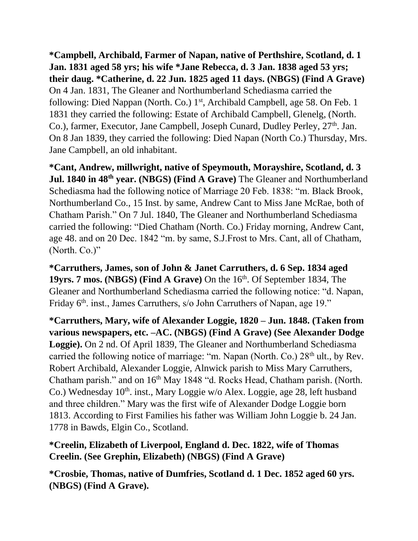**\*Campbell, Archibald, Farmer of Napan, native of Perthshire, Scotland, d. 1 Jan. 1831 aged 58 yrs; his wife \*Jane Rebecca, d. 3 Jan. 1838 aged 53 yrs; their daug. \*Catherine, d. 22 Jun. 1825 aged 11 days. (NBGS) (Find A Grave)**  On 4 Jan. 1831, The Gleaner and Northumberland Schediasma carried the following: Died Nappan (North. Co.) 1<sup>st</sup>, Archibald Campbell, age 58. On Feb. 1 1831 they carried the following: Estate of Archibald Campbell, Glenelg, (North. Co.), farmer, Executor, Jane Campbell, Joseph Cunard, Dudley Perley,  $27<sup>th</sup>$ . Jan. On 8 Jan 1839, they carried the following: Died Napan (North Co.) Thursday, Mrs. Jane Campbell, an old inhabitant.

**\*Cant, Andrew, millwright, native of Speymouth, Morayshire, Scotland, d. 3 Jul. 1840 in 48th year. (NBGS) (Find A Grave)** The Gleaner and Northumberland Schediasma had the following notice of Marriage 20 Feb. 1838: "m. Black Brook, Northumberland Co., 15 Inst. by same, Andrew Cant to Miss Jane McRae, both of Chatham Parish." On 7 Jul. 1840, The Gleaner and Northumberland Schediasma carried the following: "Died Chatham (North. Co.) Friday morning, Andrew Cant, age 48. and on 20 Dec. 1842 "m. by same, S.J.Frost to Mrs. Cant, all of Chatham, (North. Co.)"

**\*Carruthers, James, son of John & Janet Carruthers, d. 6 Sep. 1834 aged 19yrs. 7 mos. (NBGS) (Find A Grave)** On the 16<sup>th</sup>. Of September 1834, The Gleaner and Northumberland Schediasma carried the following notice: "d. Napan, Friday 6<sup>th</sup>. inst., James Carruthers, s/o John Carruthers of Napan, age 19."

**\*Carruthers, Mary, wife of Alexander Loggie, 1820 – Jun. 1848. (Taken from various newspapers, etc. –AC. (NBGS) (Find A Grave) (See Alexander Dodge Loggie).** On 2 nd. Of April 1839, The Gleaner and Northumberland Schediasma carried the following notice of marriage: "m. Napan (North. Co.) 28<sup>th</sup> ult., by Rev. Robert Archibald, Alexander Loggie, Alnwick parish to Miss Mary Carruthers, Chatham parish." and on  $16<sup>th</sup>$  May 1848 "d. Rocks Head, Chatham parish. (North. Co.) Wednesday 10<sup>th</sup>. inst., Mary Loggie w/o Alex. Loggie, age 28, left husband and three children." Mary was the first wife of Alexander Dodge Loggie born 1813. According to First Families his father was William John Loggie b. 24 Jan. 1778 in Bawds, Elgin Co., Scotland.

**\*Creelin, Elizabeth of Liverpool, England d. Dec. 1822, wife of Thomas Creelin. (See Grephin, Elizabeth) (NBGS) (Find A Grave)**

**\*Crosbie, Thomas, native of Dumfries, Scotland d. 1 Dec. 1852 aged 60 yrs. (NBGS) (Find A Grave).**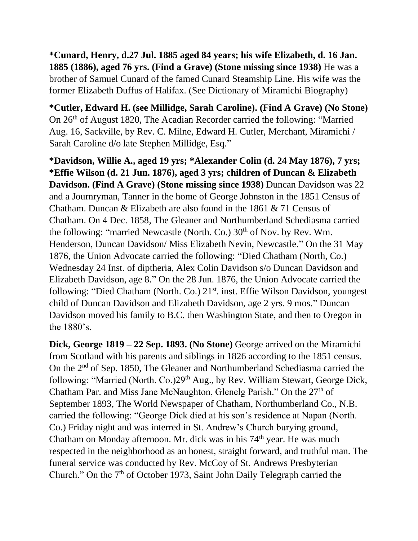**\*Cunard, Henry, d.27 Jul. 1885 aged 84 years; his wife Elizabeth, d. 16 Jan. 1885 (1886), aged 76 yrs. (Find a Grave) (Stone missing since 1938)** He was a brother of Samuel Cunard of the famed Cunard Steamship Line. His wife was the former Elizabeth Duffus of Halifax. (See Dictionary of Miramichi Biography)

**\*Cutler, Edward H. (see Millidge, Sarah Caroline). (Find A Grave) (No Stone)**  On 26th of August 1820, The Acadian Recorder carried the following: "Married Aug. 16, Sackville, by Rev. C. Milne, Edward H. Cutler, Merchant, Miramichi / Sarah Caroline d/o late Stephen Millidge, Esq."

**\*Davidson, Willie A., aged 19 yrs; \*Alexander Colin (d. 24 May 1876), 7 yrs; \*Effie Wilson (d. 21 Jun. 1876), aged 3 yrs; children of Duncan & Elizabeth Davidson. (Find A Grave) (Stone missing since 1938)** Duncan Davidson was 22 and a Journryman, Tanner in the home of George Johnston in the 1851 Census of Chatham. Duncan & Elizabeth are also found in the 1861 & 71 Census of Chatham. On 4 Dec. 1858, The Gleaner and Northumberland Schediasma carried the following: "married Newcastle (North. Co.)  $30<sup>th</sup>$  of Nov. by Rev. Wm. Henderson, Duncan Davidson/ Miss Elizabeth Nevin, Newcastle." On the 31 May 1876, the Union Advocate carried the following: "Died Chatham (North, Co.) Wednesday 24 Inst. of diptheria, Alex Colin Davidson s/o Duncan Davidson and Elizabeth Davidson, age 8." On the 28 Jun. 1876, the Union Advocate carried the following: "Died Chatham (North. Co.) 21<sup>st</sup>. inst. Effie Wilson Davidson, youngest child of Duncan Davidson and Elizabeth Davidson, age 2 yrs. 9 mos." Duncan Davidson moved his family to B.C. then Washington State, and then to Oregon in the 1880's.

**Dick, George 1819 – 22 Sep. 1893. (No Stone)** George arrived on the Miramichi from Scotland with his parents and siblings in 1826 according to the 1851 census. On the 2nd of Sep. 1850, The Gleaner and Northumberland Schediasma carried the following: "Married (North. Co.)29<sup>th</sup> Aug., by Rev. William Stewart, George Dick, Chatham Par. and Miss Jane McNaughton, Glenelg Parish." On the  $27<sup>th</sup>$  of September 1893, The World Newspaper of Chatham, Northumberland Co., N.B. carried the following: "George Dick died at his son's residence at Napan (North. Co.) Friday night and was interred in St. Andrew's Church burying ground, Chatham on Monday afternoon. Mr. dick was in his 74<sup>th</sup> year. He was much respected in the neighborhood as an honest, straight forward, and truthful man. The funeral service was conducted by Rev. McCoy of St. Andrews Presbyterian Church." On the 7<sup>th</sup> of October 1973, Saint John Daily Telegraph carried the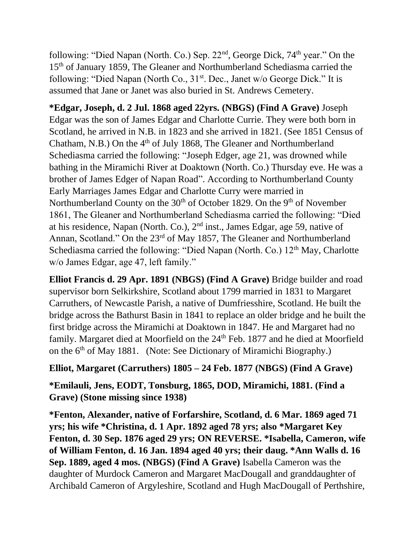following: "Died Napan (North. Co.) Sep.  $22<sup>nd</sup>$ , George Dick,  $74<sup>th</sup>$  year." On the 15th of January 1859, The Gleaner and Northumberland Schediasma carried the following: "Died Napan (North Co.,  $31<sup>st</sup>$ . Dec., Janet w/o George Dick." It is assumed that Jane or Janet was also buried in St. Andrews Cemetery.

**\*Edgar, Joseph, d. 2 Jul. 1868 aged 22yrs. (NBGS) (Find A Grave)** Joseph Edgar was the son of James Edgar and Charlotte Currie. They were both born in Scotland, he arrived in N.B. in 1823 and she arrived in 1821. (See 1851 Census of Chatham, N.B.) On the 4<sup>th</sup> of July 1868, The Gleaner and Northumberland Schediasma carried the following: "Joseph Edger, age 21, was drowned while bathing in the Miramichi River at Doaktown (North. Co.) Thursday eve. He was a brother of James Edger of Napan Road". According to Northumberland County Early Marriages James Edgar and Charlotte Curry were married in Northumberland County on the  $30<sup>th</sup>$  of October 1829. On the 9<sup>th</sup> of November 1861, The Gleaner and Northumberland Schediasma carried the following: "Died at his residence, Napan (North. Co.), 2nd inst., James Edgar, age 59, native of Annan, Scotland." On the 23<sup>rd</sup> of May 1857, The Gleaner and Northumberland Schediasma carried the following: "Died Napan (North. Co.)  $12<sup>th</sup>$  May, Charlotte w/o James Edgar, age 47, left family."

**Elliot Francis d. 29 Apr. 1891 (NBGS) (Find A Grave)** Bridge builder and road supervisor born Selkirkshire, Scotland about 1799 married in 1831 to Margaret Carruthers, of Newcastle Parish, a native of Dumfriesshire, Scotland. He built the bridge across the Bathurst Basin in 1841 to replace an older bridge and he built the first bridge across the Miramichi at Doaktown in 1847. He and Margaret had no family. Margaret died at Moorfield on the 24<sup>th</sup> Feb. 1877 and he died at Moorfield on the  $6<sup>th</sup>$  of May 1881. (Note: See Dictionary of Miramichi Biography.)

#### **Elliot, Margaret (Carruthers) 1805 – 24 Feb. 1877 (NBGS) (Find A Grave)**

**\*Emilauli, Jens, EODT, Tonsburg, 1865, DOD, Miramichi, 1881. (Find a Grave) (Stone missing since 1938)**

**\*Fenton, Alexander, native of Forfarshire, Scotland, d. 6 Mar. 1869 aged 71 yrs; his wife \*Christina, d. 1 Apr. 1892 aged 78 yrs; also \*Margaret Key Fenton, d. 30 Sep. 1876 aged 29 yrs; ON REVERSE. \*Isabella, Cameron, wife of William Fenton, d. 16 Jan. 1894 aged 40 yrs; their daug. \*Ann Walls d. 16 Sep. 1889, aged 4 mos. (NBGS) (Find A Grave)** Isabella Cameron was the daughter of Murdock Cameron and Margaret MacDougall and granddaughter of Archibald Cameron of Argyleshire, Scotland and Hugh MacDougall of Perthshire,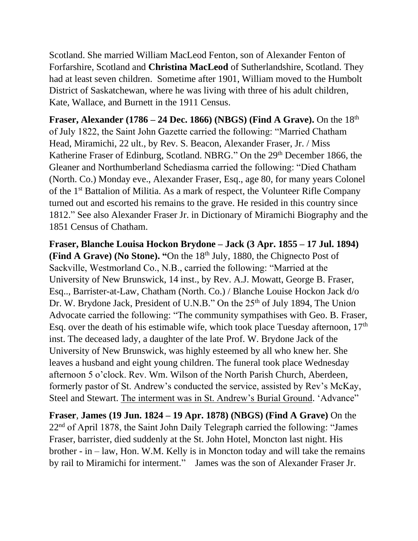Scotland. She married William MacLeod Fenton, son of Alexander Fenton of Forfarshire, Scotland and **Christina MacLeod** of Sutherlandshire, Scotland. They had at least seven children. Sometime after 1901, William moved to the Humbolt District of Saskatchewan, where he was living with three of his adult children, Kate, Wallace, and Burnett in the 1911 Census.

**Fraser, Alexander (1786 – 24 Dec. 1866) (NBGS) (Find A Grave).** On the 18<sup>th</sup> of July 1822, the Saint John Gazette carried the following: "Married Chatham Head, Miramichi, 22 ult., by Rev. S. Beacon, Alexander Fraser, Jr. / Miss Katherine Fraser of Edinburg, Scotland. NBRG." On the 29<sup>th</sup> December 1866, the Gleaner and Northumberland Schediasma carried the following: "Died Chatham (North. Co.) Monday eve., Alexander Fraser, Esq., age 80, for many years Colonel of the 1st Battalion of Militia. As a mark of respect, the Volunteer Rifle Company turned out and escorted his remains to the grave. He resided in this country since 1812." See also Alexander Fraser Jr. in Dictionary of Miramichi Biography and the 1851 Census of Chatham.

**Fraser, Blanche Louisa Hockon Brydone – Jack (3 Apr. 1855 – 17 Jul. 1894) (Find A Grave) (No Stone). "On the 18<sup>th</sup> July, 1880, the Chignecto Post of** Sackville, Westmorland Co., N.B., carried the following: "Married at the University of New Brunswick, 14 inst., by Rev. A.J. Mowatt, George B. Fraser, Esq.., Barrister-at-Law, Chatham (North. Co.) / Blanche Louise Hockon Jack d/o Dr. W. Brydone Jack, President of U.N.B." On the 25<sup>th</sup> of July 1894, The Union Advocate carried the following: "The community sympathises with Geo. B. Fraser, Esq. over the death of his estimable wife, which took place Tuesday afternoon,  $17<sup>th</sup>$ inst. The deceased lady, a daughter of the late Prof. W. Brydone Jack of the University of New Brunswick, was highly esteemed by all who knew her. She leaves a husband and eight young children. The funeral took place Wednesday afternoon 5 o'clock. Rev. Wm. Wilson of the North Parish Church, Aberdeen, formerly pastor of St. Andrew's conducted the service, assisted by Rev's McKay, Steel and Stewart. The interment was in St. Andrew's Burial Ground. 'Advance"

**Fraser**, **James (19 Jun. 1824 – 19 Apr. 1878) (NBGS) (Find A Grave)** On the 22nd of April 1878, the Saint John Daily Telegraph carried the following: "James Fraser, barrister, died suddenly at the St. John Hotel, Moncton last night. His brother - in – law, Hon. W.M. Kelly is in Moncton today and will take the remains by rail to Miramichi for interment." James was the son of Alexander Fraser Jr.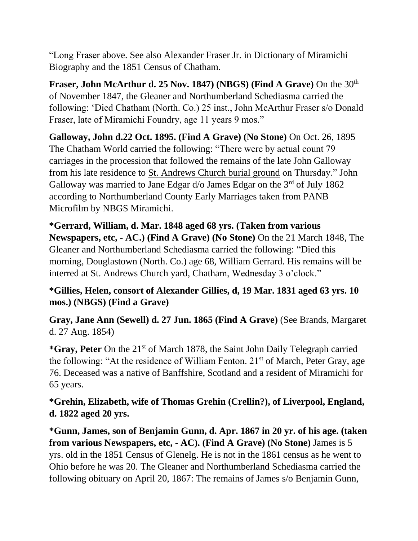"Long Fraser above. See also Alexander Fraser Jr. in Dictionary of Miramichi Biography and the 1851 Census of Chatham.

**Fraser, John McArthur d. 25 Nov. 1847) (NBGS) (Find A Grave)** On the 30<sup>th</sup> of November 1847, the Gleaner and Northumberland Schediasma carried the following: 'Died Chatham (North. Co.) 25 inst., John McArthur Fraser s/o Donald Fraser, late of Miramichi Foundry, age 11 years 9 mos."

**Galloway, John d.22 Oct. 1895. (Find A Grave) (No Stone)** On Oct. 26, 1895 The Chatham World carried the following: "There were by actual count 79 carriages in the procession that followed the remains of the late John Galloway from his late residence to St. Andrews Church burial ground on Thursday." John Galloway was married to Jane Edgar  $d$ /o James Edgar on the  $3<sup>rd</sup>$  of July 1862 according to Northumberland County Early Marriages taken from PANB Microfilm by NBGS Miramichi.

**\*Gerrard, William, d. Mar. 1848 aged 68 yrs. (Taken from various Newspapers, etc, - AC.) (Find A Grave) (No Stone)** On the 21 March 1848, The Gleaner and Northumberland Schediasma carried the following: "Died this morning, Douglastown (North. Co.) age 68, William Gerrard. His remains will be interred at St. Andrews Church yard, Chatham, Wednesday 3 o'clock."

# **\*Gillies, Helen, consort of Alexander Gillies, d, 19 Mar. 1831 aged 63 yrs. 10 mos.) (NBGS) (Find a Grave)**

**Gray, Jane Ann (Sewell) d. 27 Jun. 1865 (Find A Grave)** (See Brands, Margaret d. 27 Aug. 1854)

**\*Gray, Peter** On the 21st of March 1878, the Saint John Daily Telegraph carried the following: "At the residence of William Fenton.  $21<sup>st</sup>$  of March, Peter Gray, age 76. Deceased was a native of Banffshire, Scotland and a resident of Miramichi for 65 years.

**\*Grehin, Elizabeth, wife of Thomas Grehin (Crellin?), of Liverpool, England, d. 1822 aged 20 yrs.**

**\*Gunn, James, son of Benjamin Gunn, d. Apr. 1867 in 20 yr. of his age. (taken from various Newspapers, etc, - AC). (Find A Grave) (No Stone)** James is 5 yrs. old in the 1851 Census of Glenelg. He is not in the 1861 census as he went to Ohio before he was 20. The Gleaner and Northumberland Schediasma carried the following obituary on April 20, 1867: The remains of James s/o Benjamin Gunn,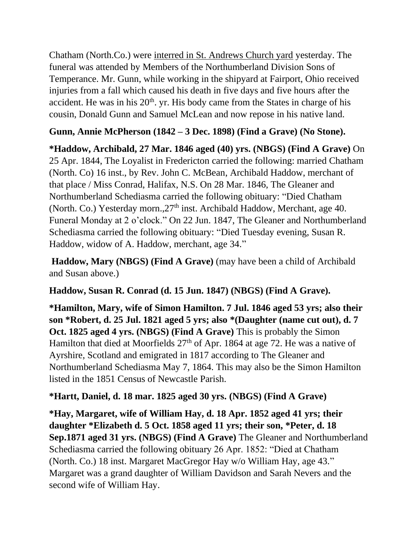Chatham (North.Co.) were interred in St. Andrews Church yard yesterday. The funeral was attended by Members of the Northumberland Division Sons of Temperance. Mr. Gunn, while working in the shipyard at Fairport, Ohio received injuries from a fall which caused his death in five days and five hours after the accident. He was in his  $20<sup>th</sup>$ . yr. His body came from the States in charge of his cousin, Donald Gunn and Samuel McLean and now repose in his native land.

# **Gunn, Annie McPherson (1842 – 3 Dec. 1898) (Find a Grave) (No Stone).**

**\*Haddow, Archibald, 27 Mar. 1846 aged (40) yrs. (NBGS) (Find A Grave)** On 25 Apr. 1844, The Loyalist in Fredericton carried the following: married Chatham (North. Co) 16 inst., by Rev. John C. McBean, Archibald Haddow, merchant of that place / Miss Conrad, Halifax, N.S. On 28 Mar. 1846, The Gleaner and Northumberland Schediasma carried the following obituary: "Died Chatham (North. Co.) Yesterday morn.,  $27<sup>th</sup>$  inst. Archibald Haddow, Merchant, age 40. Funeral Monday at 2 o'clock." On 22 Jun. 1847, The Gleaner and Northumberland Schediasma carried the following obituary: "Died Tuesday evening, Susan R. Haddow, widow of A. Haddow, merchant, age 34."

**Haddow, Mary (NBGS) (Find A Grave)** (may have been a child of Archibald and Susan above.)

**Haddow, Susan R. Conrad (d. 15 Jun. 1847) (NBGS) (Find A Grave).**

**\*Hamilton, Mary, wife of Simon Hamilton. 7 Jul. 1846 aged 53 yrs; also their son \*Robert, d. 25 Jul. 1821 aged 5 yrs; also \*(Daughter (name cut out), d. 7 Oct. 1825 aged 4 yrs. (NBGS) (Find A Grave)** This is probably the Simon Hamilton that died at Moorfields 27<sup>th</sup> of Apr. 1864 at age 72. He was a native of Ayrshire, Scotland and emigrated in 1817 according to The Gleaner and Northumberland Schediasma May 7, 1864. This may also be the Simon Hamilton listed in the 1851 Census of Newcastle Parish.

# **\*Hartt, Daniel, d. 18 mar. 1825 aged 30 yrs. (NBGS) (Find A Grave)**

**\*Hay, Margaret, wife of William Hay, d. 18 Apr. 1852 aged 41 yrs; their daughter \*Elizabeth d. 5 Oct. 1858 aged 11 yrs; their son, \*Peter, d. 18 Sep.1871 aged 31 yrs. (NBGS) (Find A Grave)** The Gleaner and Northumberland Schediasma carried the following obituary 26 Apr. 1852: "Died at Chatham (North. Co.) 18 inst. Margaret MacGregor Hay w/o William Hay, age 43." Margaret was a grand daughter of William Davidson and Sarah Nevers and the second wife of William Hay.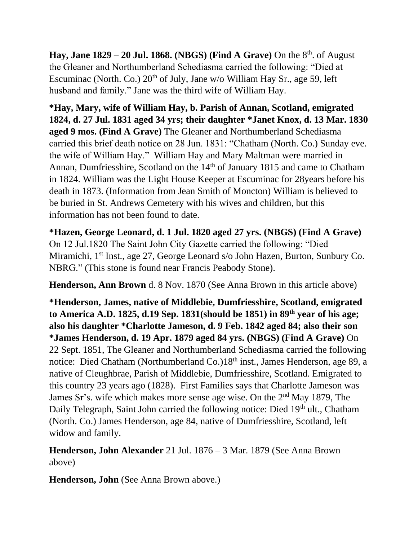**Hay, Jane**  $1829 - 20$  **Jul. 1868. (NBGS) (Find A Grave) On the**  $8<sup>th</sup>$  **of August** the Gleaner and Northumberland Schediasma carried the following: "Died at Escuminac (North. Co.)  $20<sup>th</sup>$  of July, Jane w/o William Hay Sr., age 59, left husband and family." Jane was the third wife of William Hay.

**\*Hay, Mary, wife of William Hay, b. Parish of Annan, Scotland, emigrated 1824, d. 27 Jul. 1831 aged 34 yrs; their daughter \*Janet Knox, d. 13 Mar. 1830 aged 9 mos. (Find A Grave)** The Gleaner and Northumberland Schediasma carried this brief death notice on 28 Jun. 1831: "Chatham (North. Co.) Sunday eve. the wife of William Hay." William Hay and Mary Maltman were married in Annan, Dumfriesshire, Scotland on the 14<sup>th</sup> of January 1815 and came to Chatham in 1824. William was the Light House Keeper at Escuminac for 28years before his death in 1873. (Information from Jean Smith of Moncton) William is believed to be buried in St. Andrews Cemetery with his wives and children, but this information has not been found to date.

**\*Hazen, George Leonard, d. 1 Jul. 1820 aged 27 yrs. (NBGS) (Find A Grave)**  On 12 Jul.1820 The Saint John City Gazette carried the following: "Died Miramichi, 1<sup>st</sup> Inst., age 27, George Leonard s/o John Hazen, Burton, Sunbury Co. NBRG." (This stone is found near Francis Peabody Stone).

**Henderson, Ann Brown** d. 8 Nov. 1870 (See Anna Brown in this article above)

**\*Henderson, James, native of Middlebie, Dumfriesshire, Scotland, emigrated to America A.D. 1825, d.19 Sep. 1831(should be 1851) in 89th year of his age; also his daughter \*Charlotte Jameson, d. 9 Feb. 1842 aged 84; also their son \*James Henderson, d. 19 Apr. 1879 aged 84 yrs. (NBGS) (Find A Grave)** On 22 Sept. 1851, The Gleaner and Northumberland Schediasma carried the following notice: Died Chatham (Northumberland Co.)18<sup>th</sup> inst., James Henderson, age 89, a native of Cleughbrae, Parish of Middlebie, Dumfriesshire, Scotland. Emigrated to this country 23 years ago (1828). First Families says that Charlotte Jameson was James Sr's. wife which makes more sense age wise. On the 2nd May 1879, The Daily Telegraph, Saint John carried the following notice: Died 19<sup>th</sup> ult., Chatham (North. Co.) James Henderson, age 84, native of Dumfriesshire, Scotland, left widow and family.

**Henderson, John Alexander** 21 Jul. 1876 – 3 Mar. 1879 (See Anna Brown above)

**Henderson, John** (See Anna Brown above.)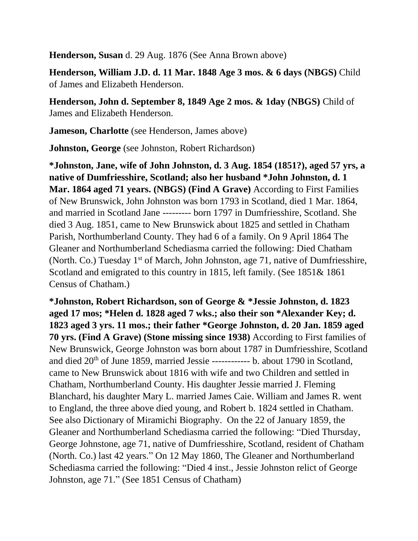**Henderson, Susan** d. 29 Aug. 1876 (See Anna Brown above)

**Henderson, William J.D. d. 11 Mar. 1848 Age 3 mos. & 6 days (NBGS)** Child of James and Elizabeth Henderson.

**Henderson, John d. September 8, 1849 Age 2 mos. & 1day (NBGS)** Child of James and Elizabeth Henderson.

**Jameson, Charlotte** (see Henderson, James above)

**Johnston, George** (see Johnston, Robert Richardson)

**\*Johnston, Jane, wife of John Johnston, d. 3 Aug. 1854 (1851?), aged 57 yrs, a native of Dumfriesshire, Scotland; also her husband \*John Johnston, d. 1 Mar. 1864 aged 71 years. (NBGS) (Find A Grave)** According to First Families of New Brunswick, John Johnston was born 1793 in Scotland, died 1 Mar. 1864, and married in Scotland Jane --------- born 1797 in Dumfriesshire, Scotland. She died 3 Aug. 1851, came to New Brunswick about 1825 and settled in Chatham Parish, Northumberland County. They had 6 of a family. On 9 April 1864 The Gleaner and Northumberland Schediasma carried the following: Died Chatham (North. Co.) Tuesday  $1<sup>st</sup>$  of March, John Johnston, age 71, native of Dumfriesshire, Scotland and emigrated to this country in 1815, left family. (See 1851& 1861 Census of Chatham.)

**\*Johnston, Robert Richardson, son of George & \*Jessie Johnston, d. 1823 aged 17 mos; \*Helen d. 1828 aged 7 wks.; also their son \*Alexander Key; d. 1823 aged 3 yrs. 11 mos.; their father \*George Johnston, d. 20 Jan. 1859 aged 70 yrs. (Find A Grave) (Stone missing since 1938)** According to First families of New Brunswick, George Johnston was born about 1787 in Dumfriesshire, Scotland and died 20th of June 1859, married Jessie ------------ b. about 1790 in Scotland, came to New Brunswick about 1816 with wife and two Children and settled in Chatham, Northumberland County. His daughter Jessie married J. Fleming Blanchard, his daughter Mary L. married James Caie. William and James R. went to England, the three above died young, and Robert b. 1824 settled in Chatham. See also Dictionary of Miramichi Biography. On the 22 of January 1859, the Gleaner and Northumberland Schediasma carried the following: "Died Thursday, George Johnstone, age 71, native of Dumfriesshire, Scotland, resident of Chatham (North. Co.) last 42 years." On 12 May 1860, The Gleaner and Northumberland Schediasma carried the following: "Died 4 inst., Jessie Johnston relict of George Johnston, age 71." (See 1851 Census of Chatham)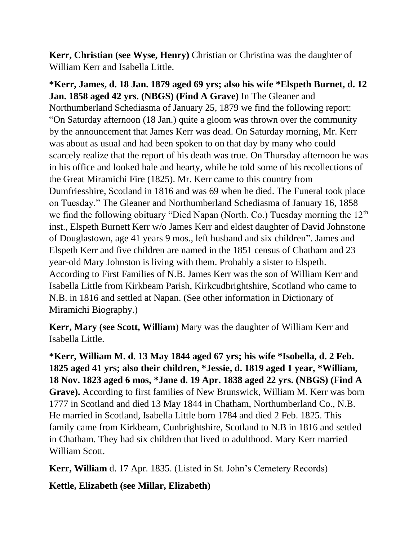**Kerr, Christian (see Wyse, Henry)** Christian or Christina was the daughter of William Kerr and Isabella Little.

**\*Kerr, James, d. 18 Jan. 1879 aged 69 yrs; also his wife \*Elspeth Burnet, d. 12 Jan. 1858 aged 42 yrs. (NBGS) (Find A Grave)** In The Gleaner and Northumberland Schediasma of January 25, 1879 we find the following report: "On Saturday afternoon (18 Jan.) quite a gloom was thrown over the community by the announcement that James Kerr was dead. On Saturday morning, Mr. Kerr was about as usual and had been spoken to on that day by many who could scarcely realize that the report of his death was true. On Thursday afternoon he was in his office and looked hale and hearty, while he told some of his recollections of the Great Miramichi Fire (1825). Mr. Kerr came to this country from Dumfriesshire, Scotland in 1816 and was 69 when he died. The Funeral took place on Tuesday." The Gleaner and Northumberland Schediasma of January 16, 1858 we find the following obituary "Died Napan (North. Co.) Tuesday morning the 12<sup>th</sup> inst., Elspeth Burnett Kerr w/o James Kerr and eldest daughter of David Johnstone of Douglastown, age 41 years 9 mos., left husband and six children". James and Elspeth Kerr and five children are named in the 1851 census of Chatham and 23 year-old Mary Johnston is living with them. Probably a sister to Elspeth. According to First Families of N.B. James Kerr was the son of William Kerr and Isabella Little from Kirkbeam Parish, Kirkcudbrightshire, Scotland who came to N.B. in 1816 and settled at Napan. (See other information in Dictionary of Miramichi Biography.)

**Kerr, Mary (see Scott, William**) Mary was the daughter of William Kerr and Isabella Little.

**\*Kerr, William M. d. 13 May 1844 aged 67 yrs; his wife \*Isobella, d. 2 Feb. 1825 aged 41 yrs; also their children, \*Jessie, d. 1819 aged 1 year, \*William, 18 Nov. 1823 aged 6 mos, \*Jane d. 19 Apr. 1838 aged 22 yrs. (NBGS) (Find A Grave).** According to first families of New Brunswick, William M. Kerr was born 1777 in Scotland and died 13 May 1844 in Chatham, Northumberland Co., N.B. He married in Scotland, Isabella Little born 1784 and died 2 Feb. 1825. This family came from Kirkbeam, Cunbrightshire, Scotland to N.B in 1816 and settled in Chatham. They had six children that lived to adulthood. Mary Kerr married William Scott.

**Kerr, William** d. 17 Apr. 1835. (Listed in St. John's Cemetery Records)

**Kettle, Elizabeth (see Millar, Elizabeth)**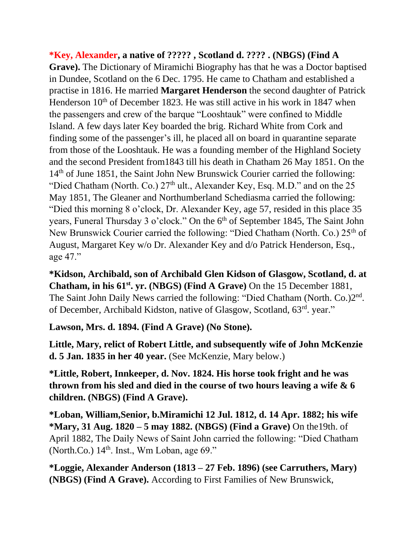**\*Key, Alexander, a native of ????? , Scotland d. ???? . (NBGS) (Find A Grave).** The Dictionary of Miramichi Biography has that he was a Doctor baptised in Dundee, Scotland on the 6 Dec. 1795. He came to Chatham and established a practise in 1816. He married **Margaret Henderson** the second daughter of Patrick Henderson  $10<sup>th</sup>$  of December 1823. He was still active in his work in 1847 when the passengers and crew of the barque "Looshtauk" were confined to Middle Island. A few days later Key boarded the brig. Richard White from Cork and finding some of the passenger's ill, he placed all on board in quarantine separate from those of the Looshtauk. He was a founding member of the Highland Society and the second President from1843 till his death in Chatham 26 May 1851. On the 14th of June 1851, the Saint John New Brunswick Courier carried the following: "Died Chatham (North. Co.)  $27<sup>th</sup>$  ult., Alexander Key, Esq. M.D." and on the 25 May 1851, The Gleaner and Northumberland Schediasma carried the following: "Died this morning 8 o'clock, Dr. Alexander Key, age 57, resided in this place 35 years, Funeral Thursday 3 o'clock." On the 6<sup>th</sup> of September 1845, The Saint John New Brunswick Courier carried the following: "Died Chatham (North. Co.) 25<sup>th</sup> of August, Margaret Key w/o Dr. Alexander Key and d/o Patrick Henderson, Esq., age 47."

**\*Kidson, Archibald, son of Archibald Glen Kidson of Glasgow, Scotland, d. at Chatham, in his 61st. yr. (NBGS) (Find A Grave)** On the 15 December 1881, The Saint John Daily News carried the following: "Died Chatham (North. Co.)2<sup>nd</sup>. of December, Archibald Kidston, native of Glasgow, Scotland, 63rd. year."

**Lawson, Mrs. d. 1894. (Find A Grave) (No Stone).**

**Little, Mary, relict of Robert Little, and subsequently wife of John McKenzie d. 5 Jan. 1835 in her 40 year.** (See McKenzie, Mary below.)

**\*Little, Robert, Innkeeper, d. Nov. 1824. His horse took fright and he was thrown from his sled and died in the course of two hours leaving a wife & 6 children. (NBGS) (Find A Grave).**

**\*Loban, William,Senior, b.Miramichi 12 Jul. 1812, d. 14 Apr. 1882; his wife \*Mary, 31 Aug. 1820 – 5 may 1882. (NBGS) (Find a Grave)** On the19th. of April 1882, The Daily News of Saint John carried the following: "Died Chatham (North.Co.)  $14<sup>th</sup>$ . Inst., Wm Loban, age 69."

**\*Loggie, Alexander Anderson (1813 – 27 Feb. 1896) (see Carruthers, Mary) (NBGS) (Find A Grave).** According to First Families of New Brunswick,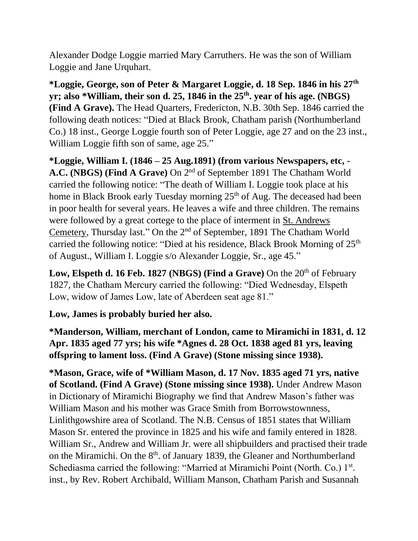Alexander Dodge Loggie married Mary Carruthers. He was the son of William Loggie and Jane Urquhart.

**\*Loggie, George, son of Peter & Margaret Loggie, d. 18 Sep. 1846 in his 27th yr; also \*William, their son d. 25, 1846 in the 25th. year of his age. (NBGS) (Find A Grave).** The Head Quarters, Fredericton, N.B. 30th Sep. 1846 carried the following death notices: "Died at Black Brook, Chatham parish (Northumberland Co.) 18 inst., George Loggie fourth son of Peter Loggie, age 27 and on the 23 inst., William Loggie fifth son of same, age 25."

**\*Loggie, William I. (1846 – 25 Aug.1891) (from various Newspapers, etc, - A.C. (NBGS) (Find A Grave)** On 2nd of September 1891 The Chatham World carried the following notice: "The death of William I. Loggie took place at his home in Black Brook early Tuesday morning 25<sup>th</sup> of Aug. The deceased had been in poor health for several years. He leaves a wife and three children. The remains were followed by a great cortege to the place of interment in St. Andrews Cemetery, Thursday last." On the 2nd of September, 1891 The Chatham World carried the following notice: "Died at his residence, Black Brook Morning of  $25<sup>th</sup>$ of August., William I. Loggie s/o Alexander Loggie, Sr., age 45."

**Low, Elspeth d. 16 Feb. 1827 (NBGS) (Find a Grave) On the 20<sup>th</sup> of February** 1827, the Chatham Mercury carried the following: "Died Wednesday, Elspeth Low, widow of James Low, late of Aberdeen seat age 81."

#### **Low, James is probably buried her also.**

**\*Manderson, William, merchant of London, came to Miramichi in 1831, d. 12 Apr. 1835 aged 77 yrs; his wife \*Agnes d. 28 Oct. 1838 aged 81 yrs, leaving offspring to lament loss. (Find A Grave) (Stone missing since 1938).**

**\*Mason, Grace, wife of \*William Mason, d. 17 Nov. 1835 aged 71 yrs, native of Scotland. (Find A Grave) (Stone missing since 1938).** Under Andrew Mason in Dictionary of Miramichi Biography we find that Andrew Mason's father was William Mason and his mother was Grace Smith from Borrowstownness, Linlithgowshire area of Scotland. The N.B. Census of 1851 states that William Mason Sr. entered the province in 1825 and his wife and family entered in 1828. William Sr., Andrew and William Jr. were all shipbuilders and practised their trade on the Miramichi. On the 8<sup>th</sup>. of January 1839, the Gleaner and Northumberland Schediasma carried the following: "Married at Miramichi Point (North. Co.) 1<sup>st</sup>. inst., by Rev. Robert Archibald, William Manson, Chatham Parish and Susannah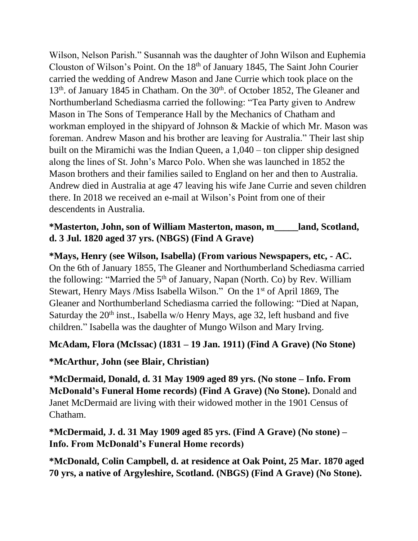Wilson, Nelson Parish." Susannah was the daughter of John Wilson and Euphemia Clouston of Wilson's Point. On the 18<sup>th</sup> of January 1845, The Saint John Courier carried the wedding of Andrew Mason and Jane Currie which took place on the 13<sup>th</sup>. of January 1845 in Chatham. On the 30<sup>th</sup>. of October 1852, The Gleaner and Northumberland Schediasma carried the following: "Tea Party given to Andrew Mason in The Sons of Temperance Hall by the Mechanics of Chatham and workman employed in the shipyard of Johnson & Mackie of which Mr. Mason was foreman. Andrew Mason and his brother are leaving for Australia." Their last ship built on the Miramichi was the Indian Queen, a 1,040 – ton clipper ship designed along the lines of St. John's Marco Polo. When she was launched in 1852 the Mason brothers and their families sailed to England on her and then to Australia. Andrew died in Australia at age 47 leaving his wife Jane Currie and seven children there. In 2018 we received an e-mail at Wilson's Point from one of their descendents in Australia.

## **\*Masterton, John, son of William Masterton, mason, m\_\_\_\_\_land, Scotland, d. 3 Jul. 1820 aged 37 yrs. (NBGS) (Find A Grave)**

**\*Mays, Henry (see Wilson, Isabella) (From various Newspapers, etc, - AC.**  On the 6th of January 1855, The Gleaner and Northumberland Schediasma carried the following: "Married the  $5<sup>th</sup>$  of January, Napan (North. Co) by Rev. William Stewart, Henry Mays /Miss Isabella Wilson." On the 1st of April 1869, The Gleaner and Northumberland Schediasma carried the following: "Died at Napan, Saturday the  $20<sup>th</sup>$  inst., Isabella w/o Henry Mays, age 32, left husband and five children." Isabella was the daughter of Mungo Wilson and Mary Irving.

#### **McAdam, Flora (McIssac) (1831 – 19 Jan. 1911) (Find A Grave) (No Stone)**

# **\*McArthur, John (see Blair, Christian)**

**\*McDermaid, Donald, d. 31 May 1909 aged 89 yrs. (No stone – Info. From McDonald's Funeral Home records) (Find A Grave) (No Stone).** Donald and Janet McDermaid are living with their widowed mother in the 1901 Census of Chatham.

## **\*McDermaid, J. d. 31 May 1909 aged 85 yrs. (Find A Grave) (No stone) – Info. From McDonald's Funeral Home records)**

**\*McDonald, Colin Campbell, d. at residence at Oak Point, 25 Mar. 1870 aged 70 yrs, a native of Argyleshire, Scotland. (NBGS) (Find A Grave) (No Stone).**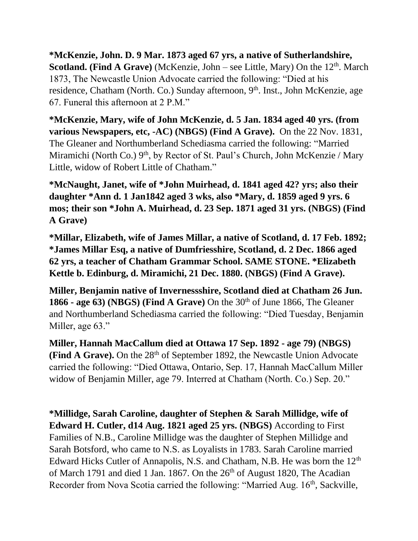**\*McKenzie, John. D. 9 Mar. 1873 aged 67 yrs, a native of Sutherlandshire, Scotland. (Find A Grave)** (McKenzie, John – see Little, Mary) On the 12<sup>th</sup>. March 1873, The Newcastle Union Advocate carried the following: "Died at his residence, Chatham (North. Co.) Sunday afternoon, 9<sup>th</sup>. Inst., John McKenzie, age 67. Funeral this afternoon at 2 P.M."

**\*McKenzie, Mary, wife of John McKenzie, d. 5 Jan. 1834 aged 40 yrs. (from various Newspapers, etc, -AC) (NBGS) (Find A Grave).** On the 22 Nov. 1831, The Gleaner and Northumberland Schediasma carried the following: "Married Miramichi (North Co.) 9<sup>th</sup>, by Rector of St. Paul's Church, John McKenzie / Mary Little, widow of Robert Little of Chatham."

**\*McNaught, Janet, wife of \*John Muirhead, d. 1841 aged 42? yrs; also their daughter \*Ann d. 1 Jan1842 aged 3 wks, also \*Mary, d. 1859 aged 9 yrs. 6 mos; their son \*John A. Muirhead, d. 23 Sep. 1871 aged 31 yrs. (NBGS) (Find A Grave)**

**\*Millar, Elizabeth, wife of James Millar, a native of Scotland, d. 17 Feb. 1892; \*James Millar Esq, a native of Dumfriesshire, Scotland, d. 2 Dec. 1866 aged 62 yrs, a teacher of Chatham Grammar School. SAME STONE. \*Elizabeth Kettle b. Edinburg, d. Miramichi, 21 Dec. 1880. (NBGS) (Find A Grave).**

**Miller, Benjamin native of Invernessshire, Scotland died at Chatham 26 Jun. 1866 - age 63**) (NBGS) (Find A Grave) On the  $30<sup>th</sup>$  of June 1866, The Gleaner and Northumberland Schediasma carried the following: "Died Tuesday, Benjamin Miller, age 63."

**Miller, Hannah MacCallum died at Ottawa 17 Sep. 1892 - age 79) (NBGS) (Find A Grave).** On the 28<sup>th</sup> of September 1892, the Newcastle Union Advocate carried the following: "Died Ottawa, Ontario, Sep. 17, Hannah MacCallum Miller widow of Benjamin Miller, age 79. Interred at Chatham (North. Co.) Sep. 20."

**\*Millidge, Sarah Caroline, daughter of Stephen & Sarah Millidge, wife of Edward H. Cutler, d14 Aug. 1821 aged 25 yrs. (NBGS)** According to First Families of N.B., Caroline Millidge was the daughter of Stephen Millidge and Sarah Botsford, who came to N.S. as Loyalists in 1783. Sarah Caroline married Edward Hicks Cutler of Annapolis, N.S. and Chatham, N.B. He was born the 12<sup>th</sup> of March 1791 and died 1 Jan. 1867. On the  $26<sup>th</sup>$  of August 1820, The Acadian Recorder from Nova Scotia carried the following: "Married Aug. 16<sup>th</sup>, Sackville,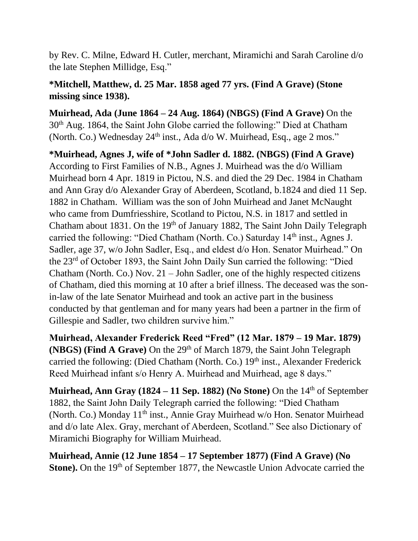by Rev. C. Milne, Edward H. Cutler, merchant, Miramichi and Sarah Caroline d/o the late Stephen Millidge, Esq."

## **\*Mitchell, Matthew, d. 25 Mar. 1858 aged 77 yrs. (Find A Grave) (Stone missing since 1938).**

**Muirhead, Ada (June 1864 – 24 Aug. 1864) (NBGS) (Find A Grave)** On the 30th Aug. 1864, the Saint John Globe carried the following:" Died at Chatham (North. Co.) Wednesday 24<sup>th</sup> inst., Ada d/o W. Muirhead, Esq., age 2 mos."

**\*Muirhead, Agnes J, wife of \*John Sadler d. 1882. (NBGS) (Find A Grave)**  According to First Families of N.B., Agnes J. Muirhead was the d/o William Muirhead born 4 Apr. 1819 in Pictou, N.S. and died the 29 Dec. 1984 in Chatham and Ann Gray d/o Alexander Gray of Aberdeen, Scotland, b.1824 and died 11 Sep. 1882 in Chatham. William was the son of John Muirhead and Janet McNaught who came from Dumfriesshire, Scotland to Pictou, N.S. in 1817 and settled in Chatham about 1831. On the 19<sup>th</sup> of January 1882, The Saint John Daily Telegraph carried the following: "Died Chatham (North. Co.) Saturday  $14<sup>th</sup>$  inst., Agnes J. Sadler, age 37, w/o John Sadler, Esq., and eldest d/o Hon. Senator Muirhead." On the 23rd of October 1893, the Saint John Daily Sun carried the following: "Died Chatham (North. Co.) Nov. 21 – John Sadler, one of the highly respected citizens of Chatham, died this morning at 10 after a brief illness. The deceased was the sonin-law of the late Senator Muirhead and took an active part in the business conducted by that gentleman and for many years had been a partner in the firm of Gillespie and Sadler, two children survive him."

**Muirhead, Alexander Frederick Reed "Fred" (12 Mar. 1879 – 19 Mar. 1879) (NBGS) (Find A Grave)** On the 29<sup>th</sup> of March 1879, the Saint John Telegraph carried the following: (Died Chatham (North. Co.) 19<sup>th</sup> inst., Alexander Frederick Reed Muirhead infant s/o Henry A. Muirhead and Muirhead, age 8 days."

**Muirhead, Ann Gray (1824 – 11 Sep. 1882) (No Stone)** On the 14th of September 1882, the Saint John Daily Telegraph carried the following: "Died Chatham (North. Co.) Monday 11<sup>th</sup> inst., Annie Gray Muirhead w/o Hon. Senator Muirhead and d/o late Alex. Gray, merchant of Aberdeen, Scotland." See also Dictionary of Miramichi Biography for William Muirhead.

**Muirhead, Annie (12 June 1854 – 17 September 1877) (Find A Grave) (No Stone).** On the 19<sup>th</sup> of September 1877, the Newcastle Union Advocate carried the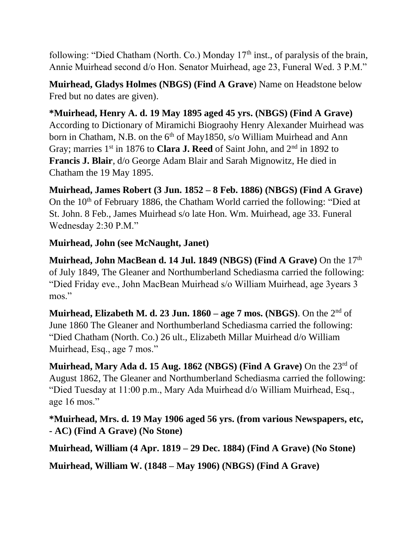following: "Died Chatham (North. Co.) Monday  $17<sup>th</sup>$  inst., of paralysis of the brain, Annie Muirhead second d/o Hon. Senator Muirhead, age 23, Funeral Wed. 3 P.M."

**Muirhead, Gladys Holmes (NBGS) (Find A Grave**) Name on Headstone below Fred but no dates are given).

**\*Muirhead, Henry A. d. 19 May 1895 aged 45 yrs. (NBGS) (Find A Grave)**  According to Dictionary of Miramichi Biograohy Henry Alexander Muirhead was born in Chatham, N.B. on the  $6<sup>th</sup>$  of May1850, s/o William Muirhead and Ann Gray; marries 1<sup>st</sup> in 1876 to **Clara J. Reed** of Saint John, and 2<sup>nd</sup> in 1892 to **Francis J. Blair**, d/o George Adam Blair and Sarah Mignowitz, He died in Chatham the 19 May 1895.

**Muirhead, James Robert (3 Jun. 1852 – 8 Feb. 1886) (NBGS) (Find A Grave)** On the 10<sup>th</sup> of February 1886, the Chatham World carried the following: "Died at St. John. 8 Feb., James Muirhead s/o late Hon. Wm. Muirhead, age 33. Funeral Wednesday 2:30 P.M."

## **Muirhead, John (see McNaught, Janet)**

**Muirhead, John MacBean d. 14 Jul. 1849 (NBGS) (Find A Grave)** On the 17<sup>th</sup> of July 1849, The Gleaner and Northumberland Schediasma carried the following: "Died Friday eve., John MacBean Muirhead s/o William Muirhead, age 3years 3 mos."

**Muirhead, Elizabeth M. d. 23 Jun. 1860 – age 7 mos. (NBGS)**. On the 2nd of June 1860 The Gleaner and Northumberland Schediasma carried the following: "Died Chatham (North. Co.) 26 ult., Elizabeth Millar Muirhead d/o William Muirhead, Esq., age 7 mos."

**Muirhead, Mary Ada d. 15 Aug. 1862 (NBGS) (Find A Grave)** On the 23rd of August 1862, The Gleaner and Northumberland Schediasma carried the following: "Died Tuesday at 11:00 p.m., Mary Ada Muirhead d/o William Muirhead, Esq., age 16 mos."

**\*Muirhead, Mrs. d. 19 May 1906 aged 56 yrs. (from various Newspapers, etc, - AC) (Find A Grave) (No Stone)**

**Muirhead, William (4 Apr. 1819 – 29 Dec. 1884) (Find A Grave) (No Stone)**

**Muirhead, William W. (1848 – May 1906) (NBGS) (Find A Grave)**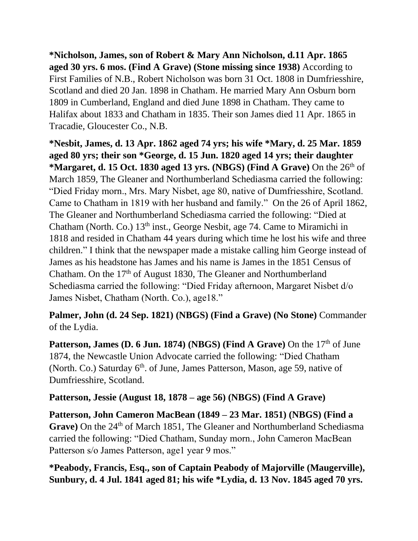**\*Nicholson, James, son of Robert & Mary Ann Nicholson, d.11 Apr. 1865 aged 30 yrs. 6 mos. (Find A Grave) (Stone missing since 1938)** According to First Families of N.B., Robert Nicholson was born 31 Oct. 1808 in Dumfriesshire, Scotland and died 20 Jan. 1898 in Chatham. He married Mary Ann Osburn born 1809 in Cumberland, England and died June 1898 in Chatham. They came to Halifax about 1833 and Chatham in 1835. Their son James died 11 Apr. 1865 in Tracadie, Gloucester Co., N.B.

**\*Nesbit, James, d. 13 Apr. 1862 aged 74 yrs; his wife \*Mary, d. 25 Mar. 1859 aged 80 yrs; their son \*George, d. 15 Jun. 1820 aged 14 yrs; their daughter \*Margaret, d. 15 Oct. 1830 aged 13 yrs. (NBGS) (Find A Grave)** On the 26th of March 1859, The Gleaner and Northumberland Schediasma carried the following: "Died Friday morn., Mrs. Mary Nisbet, age 80, native of Dumfriesshire, Scotland. Came to Chatham in 1819 with her husband and family." On the 26 of April 1862, The Gleaner and Northumberland Schediasma carried the following: "Died at Chatham (North. Co.) 13<sup>th</sup> inst., George Nesbit, age 74. Came to Miramichi in 1818 and resided in Chatham 44 years during which time he lost his wife and three children." I think that the newspaper made a mistake calling him George instead of James as his headstone has James and his name is James in the 1851 Census of Chatham. On the 17<sup>th</sup> of August 1830, The Gleaner and Northumberland Schediasma carried the following: "Died Friday afternoon, Margaret Nisbet d/o James Nisbet, Chatham (North. Co.), age18."

**Palmer, John (d. 24 Sep. 1821) (NBGS) (Find a Grave) (No Stone)** Commander of the Lydia.

**Patterson, James (D. 6 Jun. 1874) (NBGS) (Find A Grave)** On the 17<sup>th</sup> of June 1874, the Newcastle Union Advocate carried the following: "Died Chatham (North. Co.) Saturday 6<sup>th</sup>. of June, James Patterson, Mason, age 59, native of Dumfriesshire, Scotland.

#### **Patterson, Jessie (August 18, 1878 – age 56) (NBGS) (Find A Grave)**

**Patterson, John Cameron MacBean (1849 – 23 Mar. 1851) (NBGS) (Find a**  Grave) On the 24<sup>th</sup> of March 1851, The Gleaner and Northumberland Schediasma carried the following: "Died Chatham, Sunday morn., John Cameron MacBean Patterson s/o James Patterson, age1 year 9 mos."

**\*Peabody, Francis, Esq., son of Captain Peabody of Majorville (Maugerville), Sunbury, d. 4 Jul. 1841 aged 81; his wife \*Lydia, d. 13 Nov. 1845 aged 70 yrs.**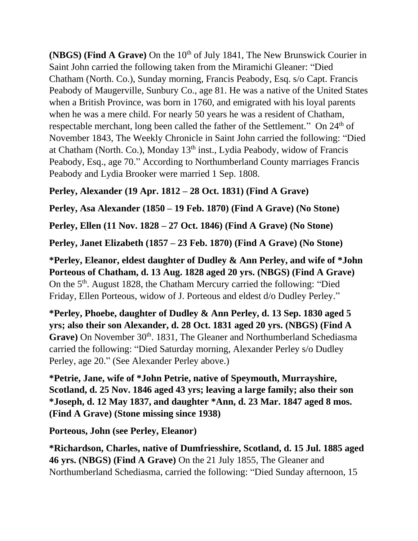**(NBGS) (Find A Grave)** On the 10<sup>th</sup> of July 1841, The New Brunswick Courier in Saint John carried the following taken from the Miramichi Gleaner: "Died Chatham (North. Co.), Sunday morning, Francis Peabody, Esq. s/o Capt. Francis Peabody of Maugerville, Sunbury Co., age 81. He was a native of the United States when a British Province, was born in 1760, and emigrated with his loyal parents when he was a mere child. For nearly 50 years he was a resident of Chatham, respectable merchant, long been called the father of the Settlement." On 24<sup>th</sup> of November 1843, The Weekly Chronicle in Saint John carried the following: "Died at Chatham (North. Co.), Monday  $13<sup>th</sup>$  inst., Lydia Peabody, widow of Francis Peabody, Esq., age 70." According to Northumberland County marriages Francis Peabody and Lydia Brooker were married 1 Sep. 1808.

**Perley, Alexander (19 Apr. 1812 – 28 Oct. 1831) (Find A Grave)**

**Perley, Asa Alexander (1850 – 19 Feb. 1870) (Find A Grave) (No Stone)**

**Perley, Ellen (11 Nov. 1828 – 27 Oct. 1846) (Find A Grave) (No Stone)**

**Perley, Janet Elizabeth (1857 – 23 Feb. 1870) (Find A Grave) (No Stone)**

**\*Perley, Eleanor, eldest daughter of Dudley & Ann Perley, and wife of \*John Porteous of Chatham, d. 13 Aug. 1828 aged 20 yrs. (NBGS) (Find A Grave)**  On the 5<sup>th</sup>. August 1828, the Chatham Mercury carried the following: "Died Friday, Ellen Porteous, widow of J. Porteous and eldest d/o Dudley Perley."

**\*Perley, Phoebe, daughter of Dudley & Ann Perley, d. 13 Sep. 1830 aged 5 yrs; also their son Alexander, d. 28 Oct. 1831 aged 20 yrs. (NBGS) (Find A**  Grave) On November 30<sup>th</sup>. 1831, The Gleaner and Northumberland Schediasma carried the following: "Died Saturday morning, Alexander Perley s/o Dudley Perley, age 20." (See Alexander Perley above.)

**\*Petrie, Jane, wife of \*John Petrie, native of Speymouth, Murrayshire, Scotland, d. 25 Nov. 1846 aged 43 yrs; leaving a large family; also their son \*Joseph, d. 12 May 1837, and daughter \*Ann, d. 23 Mar. 1847 aged 8 mos. (Find A Grave) (Stone missing since 1938)**

**Porteous, John (see Perley, Eleanor)**

**\*Richardson, Charles, native of Dumfriesshire, Scotland, d. 15 Jul. 1885 aged 46 yrs. (NBGS) (Find A Grave)** On the 21 July 1855, The Gleaner and Northumberland Schediasma, carried the following: "Died Sunday afternoon, 15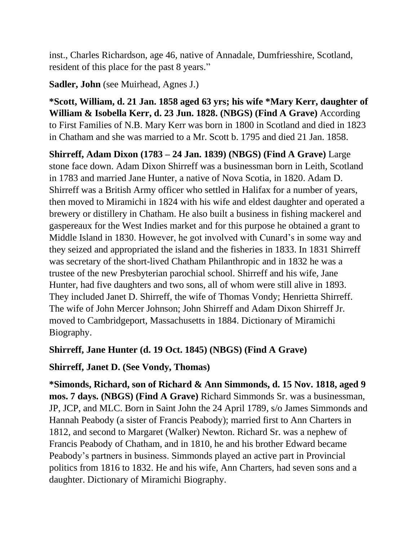inst., Charles Richardson, age 46, native of Annadale, Dumfriesshire, Scotland, resident of this place for the past 8 years."

**Sadler, John** (see Muirhead, Agnes J.)

**\*Scott, William, d. 21 Jan. 1858 aged 63 yrs; his wife \*Mary Kerr, daughter of William & Isobella Kerr, d. 23 Jun. 1828. (NBGS) (Find A Grave)** According to First Families of N.B. Mary Kerr was born in 1800 in Scotland and died in 1823 in Chatham and she was married to a Mr. Scott b. 1795 and died 21 Jan. 1858.

**Shirreff, Adam Dixon (1783 – 24 Jan. 1839) (NBGS) (Find A Grave)** Large stone face down. Adam Dixon Shirreff was a businessman born in Leith, Scotland in 1783 and married Jane Hunter, a native of Nova Scotia, in 1820. Adam D. Shirreff was a British Army officer who settled in Halifax for a number of years, then moved to Miramichi in 1824 with his wife and eldest daughter and operated a brewery or distillery in Chatham. He also built a business in fishing mackerel and gaspereaux for the West Indies market and for this purpose he obtained a grant to Middle Island in 1830. However, he got involved with Cunard's in some way and they seized and appropriated the island and the fisheries in 1833. In 1831 Shirreff was secretary of the short-lived Chatham Philanthropic and in 1832 he was a trustee of the new Presbyterian parochial school. Shirreff and his wife, Jane Hunter, had five daughters and two sons, all of whom were still alive in 1893. They included Janet D. Shirreff, the wife of Thomas Vondy; Henrietta Shirreff. The wife of John Mercer Johnson; John Shirreff and Adam Dixon Shirreff Jr. moved to Cambridgeport, Massachusetts in 1884. Dictionary of Miramichi Biography.

#### **Shirreff, Jane Hunter (d. 19 Oct. 1845) (NBGS) (Find A Grave)**

# **Shirreff, Janet D. (See Vondy, Thomas)**

**\*Simonds, Richard, son of Richard & Ann Simmonds, d. 15 Nov. 1818, aged 9 mos. 7 days. (NBGS) (Find A Grave)** Richard Simmonds Sr. was a businessman, JP, JCP, and MLC. Born in Saint John the 24 April 1789, s/o James Simmonds and Hannah Peabody (a sister of Francis Peabody); married first to Ann Charters in 1812, and second to Margaret (Walker) Newton. Richard Sr. was a nephew of Francis Peabody of Chatham, and in 1810, he and his brother Edward became Peabody's partners in business. Simmonds played an active part in Provincial politics from 1816 to 1832. He and his wife, Ann Charters, had seven sons and a daughter. Dictionary of Miramichi Biography.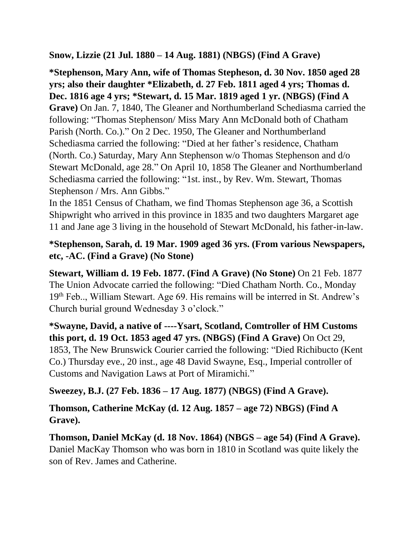**Snow, Lizzie (21 Jul. 1880 – 14 Aug. 1881) (NBGS) (Find A Grave)**

**\*Stephenson, Mary Ann, wife of Thomas Stepheson, d. 30 Nov. 1850 aged 28 yrs; also their daughter \*Elizabeth, d. 27 Feb. 1811 aged 4 yrs; Thomas d. Dec. 1816 age 4 yrs; \*Stewart, d. 15 Mar. 1819 aged 1 yr. (NBGS) (Find A Grave)** On Jan. 7, 1840, The Gleaner and Northumberland Schediasma carried the following: "Thomas Stephenson/ Miss Mary Ann McDonald both of Chatham Parish (North. Co.)." On 2 Dec. 1950, The Gleaner and Northumberland Schediasma carried the following: "Died at her father's residence, Chatham (North. Co.) Saturday, Mary Ann Stephenson w/o Thomas Stephenson and d/o Stewart McDonald, age 28." On April 10, 1858 The Gleaner and Northumberland Schediasma carried the following: "1st. inst., by Rev. Wm. Stewart, Thomas Stephenson / Mrs. Ann Gibbs."

In the 1851 Census of Chatham, we find Thomas Stephenson age 36, a Scottish Shipwright who arrived in this province in 1835 and two daughters Margaret age 11 and Jane age 3 living in the household of Stewart McDonald, his father-in-law.

# **\*Stephenson, Sarah, d. 19 Mar. 1909 aged 36 yrs. (From various Newspapers, etc, -AC. (Find a Grave) (No Stone)**

**Stewart, William d. 19 Feb. 1877. (Find A Grave) (No Stone)** On 21 Feb. 1877 The Union Advocate carried the following: "Died Chatham North. Co., Monday 19th Feb.., William Stewart. Age 69. His remains will be interred in St. Andrew's Church burial ground Wednesday 3 o'clock."

**\*Swayne, David, a native of ----Ysart, Scotland, Comtroller of HM Customs this port, d. 19 Oct. 1853 aged 47 yrs. (NBGS) (Find A Grave)** On Oct 29, 1853, The New Brunswick Courier carried the following: "Died Richibucto (Kent Co.) Thursday eve., 20 inst., age 48 David Swayne, Esq., Imperial controller of Customs and Navigation Laws at Port of Miramichi."

#### **Sweezey, B.J. (27 Feb. 1836 – 17 Aug. 1877) (NBGS) (Find A Grave).**

**Thomson, Catherine McKay (d. 12 Aug. 1857 – age 72) NBGS) (Find A Grave).**

**Thomson, Daniel McKay (d. 18 Nov. 1864) (NBGS – age 54) (Find A Grave).** Daniel MacKay Thomson who was born in 1810 in Scotland was quite likely the son of Rev. James and Catherine.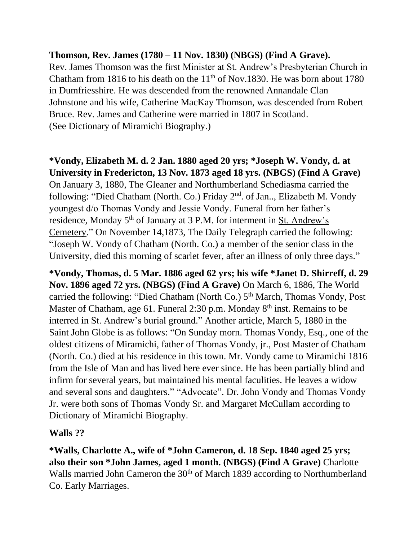#### **Thomson, Rev. James (1780 – 11 Nov. 1830) (NBGS) (Find A Grave).**

Rev. James Thomson was the first Minister at St. Andrew's Presbyterian Church in Chatham from 1816 to his death on the  $11<sup>th</sup>$  of Nov.1830. He was born about 1780 in Dumfriesshire. He was descended from the renowned Annandale Clan Johnstone and his wife, Catherine MacKay Thomson, was descended from Robert Bruce. Rev. James and Catherine were married in 1807 in Scotland. (See Dictionary of Miramichi Biography.)

#### **\*Vondy, Elizabeth M. d. 2 Jan. 1880 aged 20 yrs; \*Joseph W. Vondy, d. at University in Fredericton, 13 Nov. 1873 aged 18 yrs. (NBGS) (Find A Grave)**

On January 3, 1880, The Gleaner and Northumberland Schediasma carried the following: "Died Chatham (North. Co.) Friday 2nd. of Jan.., Elizabeth M. Vondy youngest d/o Thomas Vondy and Jessie Vondy. Funeral from her father's residence, Monday 5<sup>th</sup> of January at 3 P.M. for interment in St. Andrew's Cemetery." On November 14,1873, The Daily Telegraph carried the following: "Joseph W. Vondy of Chatham (North. Co.) a member of the senior class in the University, died this morning of scarlet fever, after an illness of only three days."

**\*Vondy, Thomas, d. 5 Mar. 1886 aged 62 yrs; his wife \*Janet D. Shirreff, d. 29 Nov. 1896 aged 72 yrs. (NBGS) (Find A Grave)** On March 6, 1886, The World carried the following: "Died Chatham (North Co.) 5<sup>th</sup> March, Thomas Vondy, Post Master of Chatham, age 61. Funeral 2:30 p.m. Monday  $8<sup>th</sup>$  inst. Remains to be interred in St. Andrew's burial ground." Another article, March 5, 1880 in the Saint John Globe is as follows: "On Sunday morn. Thomas Vondy, Esq., one of the oldest citizens of Miramichi, father of Thomas Vondy, jr., Post Master of Chatham (North. Co.) died at his residence in this town. Mr. Vondy came to Miramichi 1816 from the Isle of Man and has lived here ever since. He has been partially blind and infirm for several years, but maintained his mental faculities. He leaves a widow and several sons and daughters." "Advocate". Dr. John Vondy and Thomas Vondy Jr. were both sons of Thomas Vondy Sr. and Margaret McCullam according to Dictionary of Miramichi Biography.

#### **Walls ??**

**\*Walls, Charlotte A., wife of \*John Cameron, d. 18 Sep. 1840 aged 25 yrs; also their son \*John James, aged 1 month. (NBGS) (Find A Grave)** Charlotte Walls married John Cameron the 30<sup>th</sup> of March 1839 according to Northumberland Co. Early Marriages.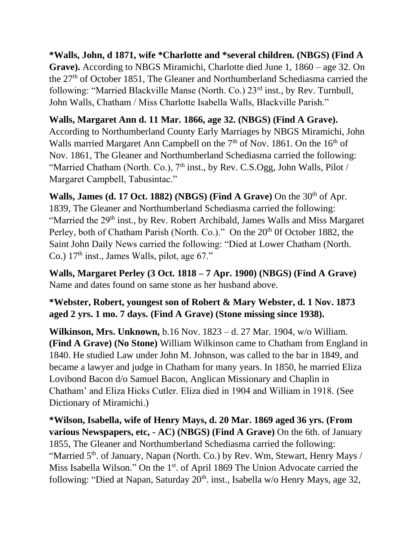# **\*Walls, John, d 1871, wife \*Charlotte and \*several children. (NBGS) (Find A**

**Grave).** According to NBGS Miramichi, Charlotte died June 1, 1860 – age 32. On the 27th of October 1851, The Gleaner and Northumberland Schediasma carried the following: "Married Blackville Manse (North. Co.) 23rd inst., by Rev. Turnbull, John Walls, Chatham / Miss Charlotte Isabella Walls, Blackville Parish."

#### **Walls, Margaret Ann d. 11 Mar. 1866, age 32. (NBGS) (Find A Grave).**

According to Northumberland County Early Marriages by NBGS Miramichi, John Walls married Margaret Ann Campbell on the  $7<sup>th</sup>$  of Nov. 1861. On the  $16<sup>th</sup>$  of Nov. 1861, The Gleaner and Northumberland Schediasma carried the following: "Married Chatham (North. Co.), 7<sup>th</sup> inst., by Rev. C.S.Ogg, John Walls, Pilot / Margaret Campbell, Tabusintac."

**Walls, James (d. 17 Oct. 1882) (NBGS) (Find A Grave)** On the 30<sup>th</sup> of Apr. 1839, The Gleaner and Northumberland Schediasma carried the following: "Married the 29<sup>th</sup> inst., by Rev. Robert Archibald, James Walls and Miss Margaret Perley, both of Chatham Parish (North. Co.)." On the 20<sup>th</sup> 0f October 1882, the Saint John Daily News carried the following: "Died at Lower Chatham (North. Co.)  $17<sup>th</sup>$  inst., James Walls, pilot, age 67."

**Walls, Margaret Perley (3 Oct. 1818 – 7 Apr. 1900) (NBGS) (Find A Grave)** Name and dates found on same stone as her husband above.

#### **\*Webster, Robert, youngest son of Robert & Mary Webster, d. 1 Nov. 1873 aged 2 yrs. 1 mo. 7 days. (Find A Grave) (Stone missing since 1938).**

**Wilkinson, Mrs. Unknown,** b.16 Nov. 1823 – d. 27 Mar. 1904, w/o William. **(Find A Grave) (No Stone)** William Wilkinson came to Chatham from England in 1840. He studied Law under John M. Johnson, was called to the bar in 1849, and became a lawyer and judge in Chatham for many years. In 1850, he married Eliza Lovibond Bacon d/o Samuel Bacon, Anglican Missionary and Chaplin in Chatham' and Eliza Hicks Cutler. Eliza died in 1904 and William in 1918. (See Dictionary of Miramichi.)

**\*Wilson, Isabella, wife of Henry Mays, d. 20 Mar. 1869 aged 36 yrs. (From various Newspapers, etc, - AC) (NBGS) (Find A Grave)** On the 6th. of January 1855, The Gleaner and Northumberland Schediasma carried the following: "Married  $5<sup>th</sup>$ . of January, Napan (North. Co.) by Rev. Wm, Stewart, Henry Mays / Miss Isabella Wilson." On the 1<sup>st</sup>. of April 1869 The Union Advocate carried the following: "Died at Napan, Saturday 20<sup>th</sup>. inst., Isabella w/o Henry Mays, age 32,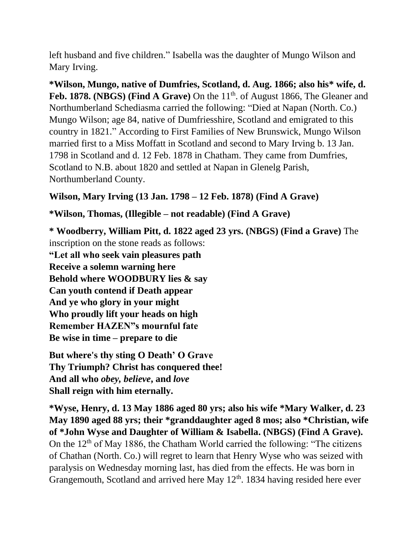left husband and five children." Isabella was the daughter of Mungo Wilson and Mary Irving.

**\*Wilson, Mungo, native of Dumfries, Scotland, d. Aug. 1866; also his\* wife, d.**  Feb. 1878. **(NBGS)** (Find A Grave) On the 11<sup>th</sup>. of August 1866, The Gleaner and Northumberland Schediasma carried the following: "Died at Napan (North. Co.) Mungo Wilson; age 84, native of Dumfriesshire, Scotland and emigrated to this country in 1821." According to First Families of New Brunswick, Mungo Wilson married first to a Miss Moffatt in Scotland and second to Mary Irving b. 13 Jan. 1798 in Scotland and d. 12 Feb. 1878 in Chatham. They came from Dumfries, Scotland to N.B. about 1820 and settled at Napan in Glenelg Parish, Northumberland County.

#### **Wilson, Mary Irving (13 Jan. 1798 – 12 Feb. 1878) (Find A Grave)**

# **\*Wilson, Thomas, (Illegible – not readable) (Find A Grave)**

**\* Woodberry, William Pitt, d. 1822 aged 23 yrs. (NBGS) (Find a Grave)** The inscription on the stone reads as follows: **"Let all who seek vain pleasures path Receive a solemn warning here Behold where WOODBURY lies & say Can youth contend if Death appear And ye who glory in your might Who proudly lift your heads on high Remember HAZEN"s mournful fate Be wise in time – prepare to die**

**But where's thy sting O Death' O Grave Thy Triumph? Christ has conquered thee! And all who** *obey, believe***, and** *love*  **Shall reign with him eternally.**

**\*Wyse, Henry, d. 13 May 1886 aged 80 yrs; also his wife \*Mary Walker, d. 23 May 1890 aged 88 yrs; their \*granddaughter aged 8 mos; also \*Christian, wife of \*John Wyse and Daughter of William & Isabella. (NBGS) (Find A Grave).** On the  $12<sup>th</sup>$  of May 1886, the Chatham World carried the following: "The citizens of Chathan (North. Co.) will regret to learn that Henry Wyse who was seized with paralysis on Wednesday morning last, has died from the effects. He was born in Grangemouth, Scotland and arrived here May  $12<sup>th</sup>$ . 1834 having resided here ever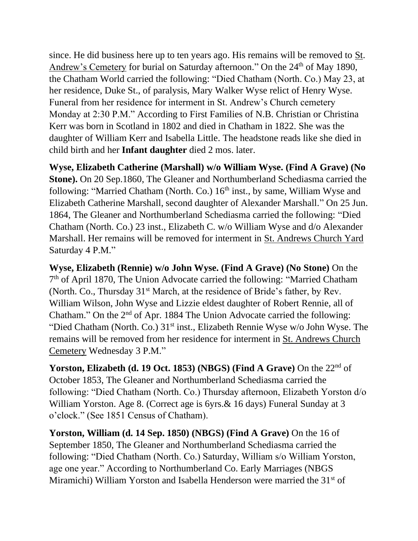since. He did business here up to ten years ago. His remains will be removed to St. Andrew's Cemetery for burial on Saturday afternoon." On the 24<sup>th</sup> of May 1890, the Chatham World carried the following: "Died Chatham (North. Co.) May 23, at her residence, Duke St., of paralysis, Mary Walker Wyse relict of Henry Wyse. Funeral from her residence for interment in St. Andrew's Church cemetery Monday at 2:30 P.M." According to First Families of N.B. Christian or Christina Kerr was born in Scotland in 1802 and died in Chatham in 1822. She was the daughter of William Kerr and Isabella Little. The headstone reads like she died in child birth and her **Infant daughter** died 2 mos. later.

**Wyse, Elizabeth Catherine (Marshall) w/o William Wyse. (Find A Grave) (No Stone).** On 20 Sep.1860, The Gleaner and Northumberland Schediasma carried the following: "Married Chatham (North. Co.)  $16<sup>th</sup>$  inst., by same, William Wyse and Elizabeth Catherine Marshall, second daughter of Alexander Marshall." On 25 Jun. 1864, The Gleaner and Northumberland Schediasma carried the following: "Died Chatham (North. Co.) 23 inst., Elizabeth C. w/o William Wyse and d/o Alexander Marshall. Her remains will be removed for interment in St. Andrews Church Yard Saturday 4 P.M."

**Wyse, Elizabeth (Rennie) w/o John Wyse. (Find A Grave) (No Stone)** On the 7<sup>th</sup> of April 1870, The Union Advocate carried the following: "Married Chatham (North. Co., Thursday 31<sup>st</sup> March, at the residence of Bride's father, by Rev. William Wilson, John Wyse and Lizzie eldest daughter of Robert Rennie, all of Chatham." On the 2<sup>nd</sup> of Apr. 1884 The Union Advocate carried the following: "Died Chatham (North. Co.)  $31<sup>st</sup>$  inst., Elizabeth Rennie Wyse w/o John Wyse. The remains will be removed from her residence for interment in St. Andrews Church Cemetery Wednesday 3 P.M."

**Yorston, Elizabeth (d. 19 Oct. 1853) (NBGS) (Find A Grave)** On the 22nd of October 1853, The Gleaner and Northumberland Schediasma carried the following: "Died Chatham (North. Co.) Thursday afternoon, Elizabeth Yorston d/o William Yorston. Age 8. (Correct age is 6yrs.& 16 days) Funeral Sunday at 3 o'clock." (See 1851 Census of Chatham).

**Yorston, William (d. 14 Sep. 1850) (NBGS) (Find A Grave)** On the 16 of September 1850, The Gleaner and Northumberland Schediasma carried the following: "Died Chatham (North. Co.) Saturday, William s/o William Yorston, age one year." According to Northumberland Co. Early Marriages (NBGS Miramichi) William Yorston and Isabella Henderson were married the 31<sup>st</sup> of